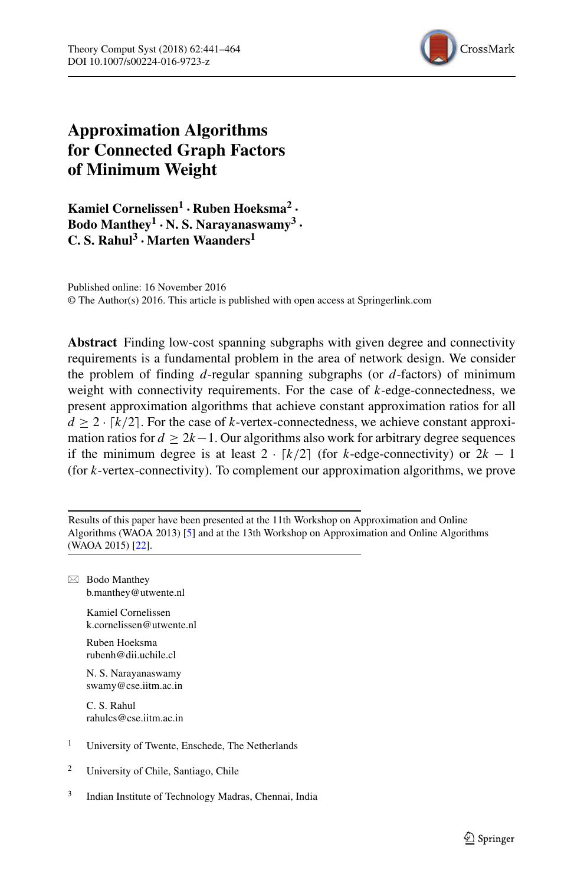

# **Approximation Algorithms for Connected Graph Factors of Minimum Weight**

**Kamiel Cornelissen<sup>1</sup>** · **Ruben Hoeksma<sup>2</sup>** · **Bodo Manthey<sup>1</sup>** · **N. S. Narayanaswamy<sup>3</sup>** · **C. S. Rahul<sup>3</sup>** ·**Marten Waanders<sup>1</sup>**

Published online: 16 November 2016 © The Author(s) 2016. This article is published with open access at Springerlink.com

**Abstract** Finding low-cost spanning subgraphs with given degree and connectivity requirements is a fundamental problem in the area of network design. We consider the problem of finding  $d$ -regular spanning subgraphs (or  $d$ -factors) of minimum weight with connectivity requirements. For the case of  $k$ -edge-connectedness, we present approximation algorithms that achieve constant approximation ratios for all  $d \geq 2 \cdot [k/2]$ . For the case of k-vertex-connectedness, we achieve constant approximation ratios for  $d > 2k-1$ . Our algorithms also work for arbitrary degree sequences if the minimum degree is at least  $2 \cdot \lfloor k/2 \rfloor$  (for k-edge-connectivity) or  $2k - 1$ (for k-vertex-connectivity). To complement our approximation algorithms, we prove

Results of this paper have been presented at the 11th Workshop on Approximation and Online Algorithms (WAOA 2013) [\[5\]](#page-22-0) and at the 13th Workshop on Approximation and Online Algorithms (WAOA 2015) [\[22\]](#page-23-0).

- Bodo Manthey [b.manthey@utwente.nl](mailto:b.manthey@utwente.nl)

> Kamiel Cornelissen [k.cornelissen@utwente.nl](mailto:k.cornelissen@utwente.nl)

Ruben Hoeksma [rubenh@dii.uchile.cl](mailto:rubenh@dii.uchile.cl)

N. S. Narayanaswamy [swamy@cse.iitm.ac.in](mailto:swamy@cse.iitm.ac.in)

C. S. Rahul [rahulcs@cse.iitm.ac.in](mailto:rahulcs@cse.iitm.ac.in)

- <sup>1</sup> University of Twente, Enschede, The Netherlands
- <sup>2</sup> University of Chile, Santiago, Chile
- 3 Indian Institute of Technology Madras, Chennai, India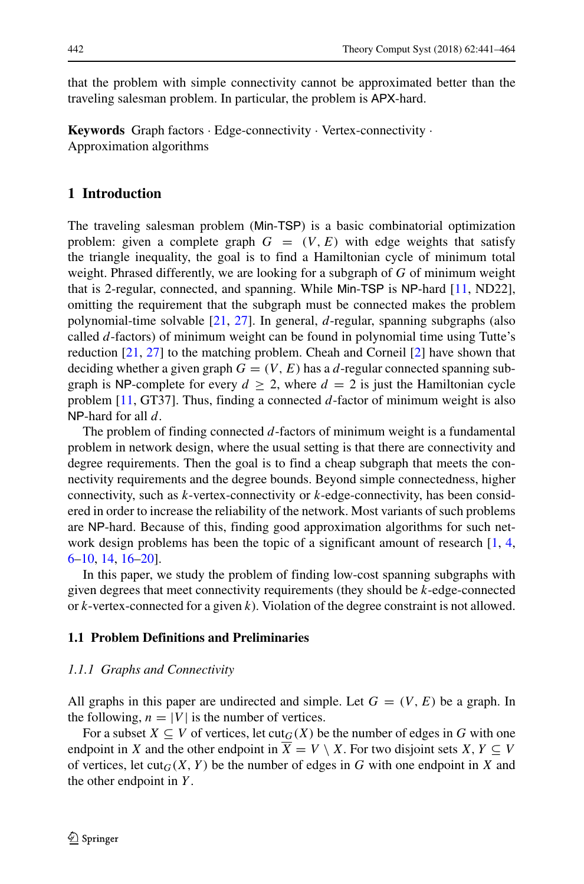that the problem with simple connectivity cannot be approximated better than the traveling salesman problem. In particular, the problem is APX-hard.

**Keywords** Graph factors · Edge-connectivity · Vertex-connectivity · Approximation algorithms

### **1 Introduction**

The traveling salesman problem (Min-TSP) is a basic combinatorial optimization problem: given a complete graph  $G = (V, E)$  with edge weights that satisfy the triangle inequality, the goal is to find a Hamiltonian cycle of minimum total weight. Phrased differently, we are looking for a subgraph of  $G$  of minimum weight that is 2-regular, connected, and spanning. While Min-TSP is NP-hard [\[11,](#page-22-1) ND22], omitting the requirement that the subgraph must be connected makes the problem polynomial-time solvable [\[21,](#page-23-1) [27\]](#page-23-2). In general, d-regular, spanning subgraphs (also called d-factors) of minimum weight can be found in polynomial time using Tutte's reduction [\[21,](#page-23-1) [27\]](#page-23-2) to the matching problem. Cheah and Corneil [\[2\]](#page-22-2) have shown that deciding whether a given graph  $G = (V, E)$  has a d-regular connected spanning subgraph is NP-complete for every  $d \geq 2$ , where  $d = 2$  is just the Hamiltonian cycle problem  $[11, GT37]$ . Thus, finding a connected d-factor of minimum weight is also NP-hard for all  $d$ .

The problem of finding connected  $d$ -factors of minimum weight is a fundamental problem in network design, where the usual setting is that there are connectivity and degree requirements. Then the goal is to find a cheap subgraph that meets the connectivity requirements and the degree bounds. Beyond simple connectedness, higher connectivity, such as  $k$ -vertex-connectivity or  $k$ -edge-connectivity, has been considered in order to increase the reliability of the network. Most variants of such problems are NP-hard. Because of this, finding good approximation algorithms for such network design problems has been the topic of a significant amount of research  $[1, 4, 4]$  $[1, 4, 4]$  $[1, 4, 4]$ [6](#page-22-5)[–10,](#page-22-6) [14,](#page-22-7) [16](#page-22-8)[–20\]](#page-23-3).

In this paper, we study the problem of finding low-cost spanning subgraphs with given degrees that meet connectivity requirements (they should be k-edge-connected or  $k$ -vertex-connected for a given  $k$ ). Violation of the degree constraint is not allowed.

#### **1.1 Problem Definitions and Preliminaries**

### *1.1.1 Graphs and Connectivity*

All graphs in this paper are undirected and simple. Let  $G = (V, E)$  be a graph. In the following,  $n = |V|$  is the number of vertices.

For a subset  $X \subseteq V$  of vertices, let  $\text{cut}_G(X)$  be the number of edges in G with one endpoint in X and the other endpoint in  $X = V \setminus X$ . For two disjoint sets  $X, Y \subseteq V$ of vertices, let  $cut_G(X, Y)$  be the number of edges in G with one endpoint in X and the other endpoint in  $Y$ .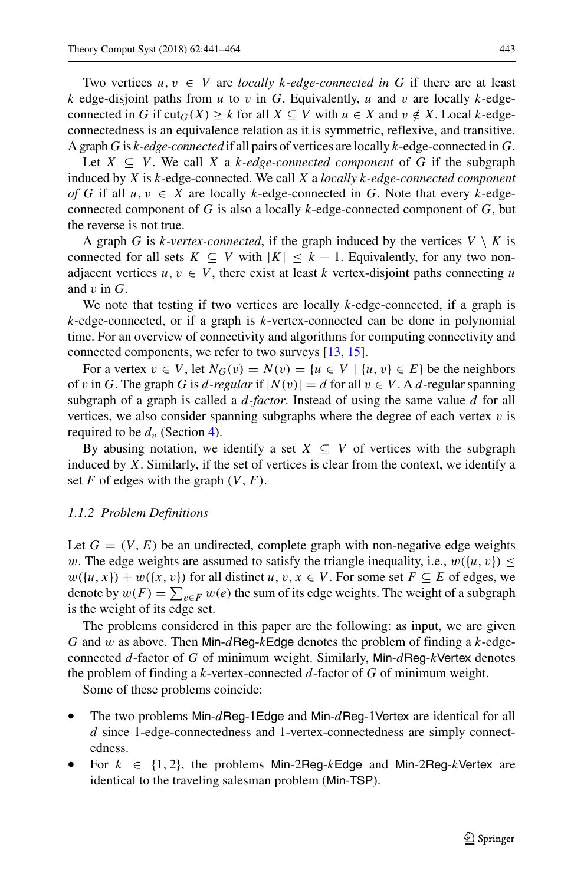Two vertices  $u, v \in V$  are *locally k-edge-connected in* G if there are at least k edge-disjoint paths from u to v in G. Equivalently, u and v are locally k-edgeconnected in G if  $\text{cut}_G(X) \geq k$  for all  $X \subseteq V$  with  $u \in X$  and  $v \notin X$ . Local k-edgeconnectedness is an equivalence relation as it is symmetric, reflexive, and transitive. A graph G is k*-edge-connected* if all pairs of vertices are locally k-edge-connected in G.

Let  $X \subseteq V$ . We call X a k-edge-connected component of G if the subgraph induced by X is k-edge-connected. We call X a *locally* k*-edge-connected component of* G if all  $u, v \in X$  are locally k-edge-connected in G. Note that every k-edgeconnected component of G is also a locally  $k$ -edge-connected component of  $G$ , but the reverse is not true.

A graph G is k-vertex-connected, if the graph induced by the vertices  $V \setminus K$  is connected for all sets  $K \subseteq V$  with  $|K| \leq k - 1$ . Equivalently, for any two nonadjacent vertices  $u, v \in V$ , there exist at least k vertex-disjoint paths connecting u and  $v$  in  $G$ .

We note that testing if two vertices are locally k-edge-connected, if a graph is k-edge-connected, or if a graph is k-vertex-connected can be done in polynomial time. For an overview of connectivity and algorithms for computing connectivity and connected components, we refer to two surveys [\[13,](#page-22-9) [15\]](#page-22-10).

For a vertex  $v \in V$ , let  $N_G(v) = N(v) = \{u \in V \mid \{u, v\} \in E\}$  be the neighbors of v in G. The graph G is d-regular if  $|N(v)| = d$  for all  $v \in V$ . A d-regular spanning subgraph of a graph is called a d*-factor*. Instead of using the same value d for all vertices, we also consider spanning subgraphs where the degree of each vertex  $v$  is required to be  $d<sub>v</sub>$  (Section [4\)](#page-19-0).

By abusing notation, we identify a set  $X \subseteq V$  of vertices with the subgraph induced by  $X$ . Similarly, if the set of vertices is clear from the context, we identify a set F of edges with the graph  $(V, F)$ .

#### <span id="page-2-0"></span>*1.1.2 Problem Definitions*

Let  $G = (V, E)$  be an undirected, complete graph with non-negative edge weights w. The edge weights are assumed to satisfy the triangle inequality, i.e.,  $w({u, v}) \leq$  $w({u, x}) + w({x, v})$  for all distinct  $u, v, x \in V$ . For some set  $F \subseteq E$  of edges, we denote by  $w(F) = \sum_{e \in F} w(e)$  the sum of its edge weights. The weight of a subgraph is the weight of its edge set.

The problems considered in this paper are the following: as input, we are given G and w as above. Then Min-dReg-kEdge denotes the problem of finding a k-edgeconnected d-factor of G of minimum weight. Similarly, Min- $d$ Reg-kVertex denotes the problem of finding a  $k$ -vertex-connected  $d$ -factor of  $G$  of minimum weight.

Some of these problems coincide:

- The two problems Min- $d$ Reg-1Edge and Min- $d$ Reg-1Vertex are identical for all d since 1-edge-connectedness and 1-vertex-connectedness are simply connectedness.
- For  $k \in \{1, 2\}$ , the problems Min-2Reg-kEdge and Min-2Reg-kVertex are identical to the traveling salesman problem (Min-TSP).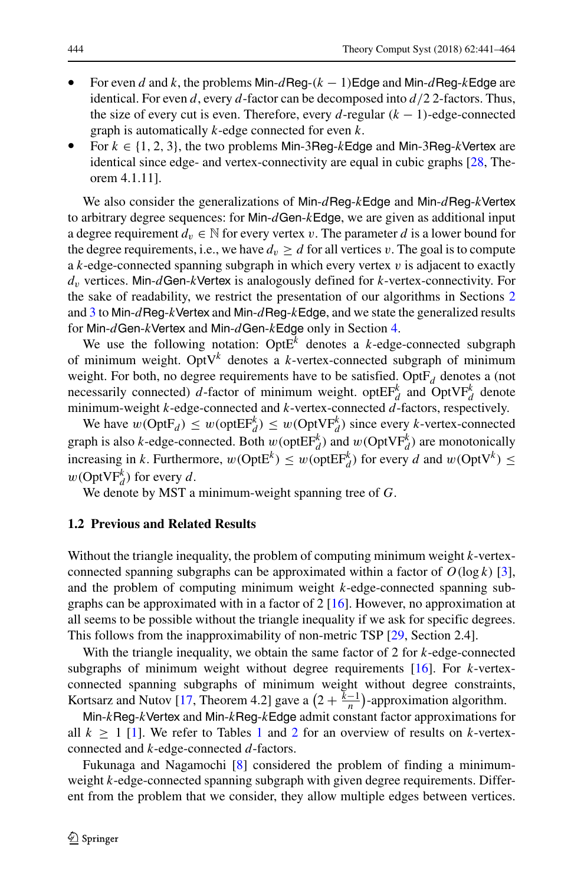- For even d and k, the problems Min-dReg- $(k 1)$ Edge and Min-dReg-kEdge are identical. For even d, every d-factor can be decomposed into  $d/2$  2-factors. Thus, the size of every cut is even. Therefore, every d-regular  $(k - 1)$ -edge-connected graph is automatically  $k$ -edge connected for even  $k$ .
- For  $k \in \{1, 2, 3\}$ , the two problems Min-3Reg-kEdge and Min-3Reg-kVertex are identical since edge- and vertex-connectivity are equal in cubic graphs [\[28,](#page-23-4) Theorem 4.1.11].

We also consider the generalizations of Min-dReg-kEdge and Min-dReg-kVertex to arbitrary degree sequences: for Min- $d$ Gen- $k$ Edge, we are given as additional input a degree requirement  $d_v \in \mathbb{N}$  for every vertex v. The parameter d is a lower bound for the degree requirements, i.e., we have  $d_v \geq d$  for all vertices v. The goal is to compute a  $k$ -edge-connected spanning subgraph in which every vertex  $v$  is adjacent to exactly  $d<sub>v</sub>$  vertices. Min-dGen-kVertex is analogously defined for k-vertex-connectivity. For the sake of readability, we restrict the presentation of our algorithms in Sections [2](#page-5-0) and [3](#page-8-0) to Min- $d$ Reg-kVertex and Min- $d$ Reg-kEdge, and we state the generalized results for Min- $d$ Gen-kVertex and Min- $d$ Gen-kEdge only in Section [4.](#page-19-0)

We use the following notation: Opt $E^k$  denotes a k-edge-connected subgraph of minimum weight. Opt $V^k$  denotes a k-vertex-connected subgraph of minimum weight. For both, no degree requirements have to be satisfied. Opt $F_d$  denotes a (not necessarily connected) d-factor of minimum weight. optEF<sub>d</sub> and OptVF<sub>d</sub> denote minimum-weight  $k$ -edge-connected and  $k$ -vertex-connected  $\ddot{d}$ -factors, respectively.

We have  $w(\text{OptF}_d) \leq w(\text{optEF}_d^k) \leq w(\text{OptVF}_d^k)$  since every k-vertex-connected graph is also k-edge-connected. Both  $w(\text{optEF}_d^k)$  and  $w(\text{OptVF}_d^k)$  are monotonically increasing in k. Furthermore,  $w(\text{OptE}^k) \leq w(\text{optE}^k)$  for every d and  $w(\text{OptV}^k) \leq$  $w(\text{OptVF}_{d}^{k})$  for every d.

We denote by MST a minimum-weight spanning tree of G.

### **1.2 Previous and Related Results**

Without the triangle inequality, the problem of computing minimum weight  $k$ -vertexconnected spanning subgraphs can be approximated within a factor of  $O(\log k)$  [\[3\]](#page-22-11), and the problem of computing minimum weight k-edge-connected spanning subgraphs can be approximated with in a factor of  $2 \lfloor 16 \rfloor$ . However, no approximation at all seems to be possible without the triangle inequality if we ask for specific degrees. This follows from the inapproximability of non-metric TSP [\[29,](#page-23-5) Section 2.4].

With the triangle inequality, we obtain the same factor of 2 for k-edge-connected subgraphs of minimum weight without degree requirements  $[16]$ . For k-vertexconnected spanning subgraphs of minimum weight without degree constraints, Kortsarz and Nutov [\[17,](#page-22-12) Theorem 4.2] gave a  $\left(2 + \frac{k-1}{n}\right)$ -approximation algorithm.

Min-kReg-kVertex and Min-kReg-kEdge admit constant factor approximations for all  $k \geq 1$  $k \geq 1$  [\[1\]](#page-22-3). We refer to Tables 1 and [2](#page-4-1) for an overview of results on k-vertexconnected and k-edge-connected d-factors.

Fukunaga and Nagamochi [\[8\]](#page-22-13) considered the problem of finding a minimumweight k-edge-connected spanning subgraph with given degree requirements. Different from the problem that we consider, they allow multiple edges between vertices.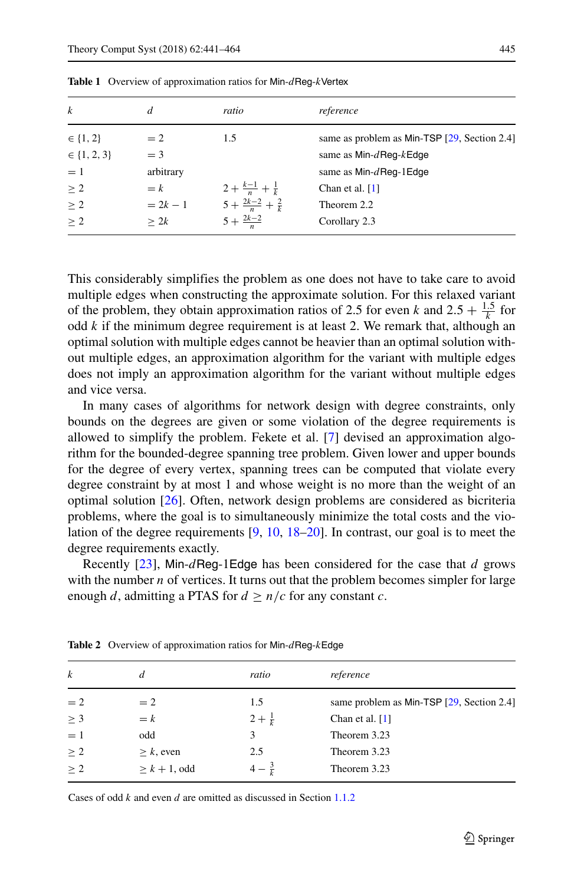| same as problem as Min-TSP $[29, Section 2.4]$ |
|------------------------------------------------|
| same as $Min-d$ Reg- $k$ Edge                  |
| same as $Min-d$ Req-1Edge                      |
|                                                |
|                                                |
|                                                |
|                                                |

<span id="page-4-0"></span>**Table 1** Overview of approximation ratios for Min-dReg-kVertex

This considerably simplifies the problem as one does not have to take care to avoid multiple edges when constructing the approximate solution. For this relaxed variant of the problem, they obtain approximation ratios of 2.5 for even k and  $2.5 + \frac{1.5}{k}$  for odd  $k$  if the minimum degree requirement is at least 2. We remark that, although an optimal solution with multiple edges cannot be heavier than an optimal solution without multiple edges, an approximation algorithm for the variant with multiple edges does not imply an approximation algorithm for the variant without multiple edges and vice versa.

In many cases of algorithms for network design with degree constraints, only bounds on the degrees are given or some violation of the degree requirements is allowed to simplify the problem. Fekete et al. [\[7\]](#page-22-14) devised an approximation algorithm for the bounded-degree spanning tree problem. Given lower and upper bounds for the degree of every vertex, spanning trees can be computed that violate every degree constraint by at most 1 and whose weight is no more than the weight of an optimal solution [\[26\]](#page-23-6). Often, network design problems are considered as bicriteria problems, where the goal is to simultaneously minimize the total costs and the violation of the degree requirements [\[9,](#page-22-15) [10,](#page-22-6) [18–](#page-23-7)[20\]](#page-23-3). In contrast, our goal is to meet the degree requirements exactly.

Recently  $[23]$ , Min-dReg-1Edge has been considered for the case that d grows with the number  $n$  of vertices. It turns out that the problem becomes simpler for large enough d, admitting a PTAS for  $d \ge n/c$  for any constant c.

| $\boldsymbol{k}$ | d               | ratio             | reference                                 |  |
|------------------|-----------------|-------------------|-------------------------------------------|--|
| $=2$             | $= 2$           | 1.5               | same problem as Min-TSP [29, Section 2.4] |  |
| $\geq 3$         | $= k$           | $2 + \frac{1}{k}$ | Chan et al. $[1]$                         |  |
| $=1$             | odd             | 3                 | Theorem 3.23                              |  |
| $\geq 2$         | $> k$ , even    | 2.5               | Theorem 3.23                              |  |
| $\geq 2$         | $> k + 1$ , odd | $4-\frac{3}{7}$   | Theorem 3.23                              |  |
|                  |                 |                   |                                           |  |

<span id="page-4-1"></span>Table 2 Overview of approximation ratios for Min-dReq-kEdge

Cases of odd k and even d are omitted as discussed in Section [1.1.2](#page-2-0)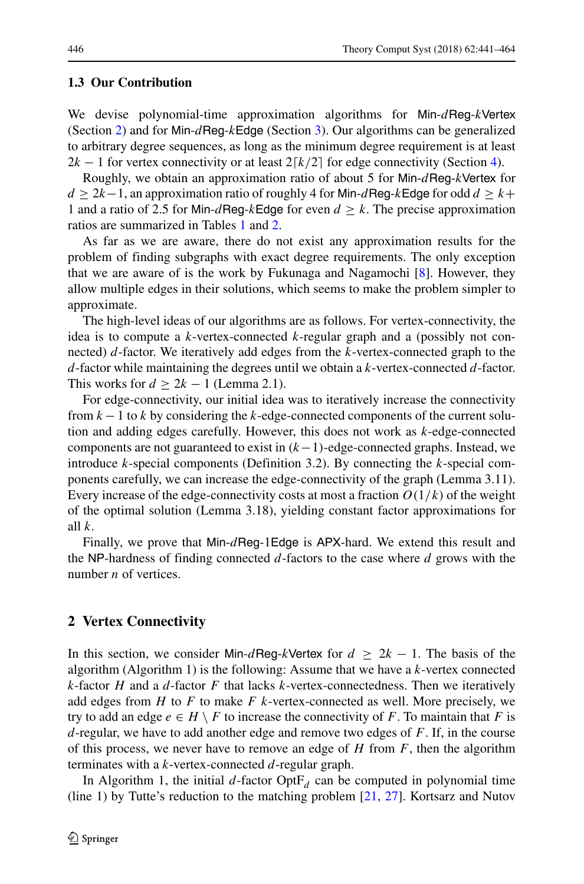#### **1.3 Our Contribution**

We devise polynomial-time approximation algorithms for Min-dReg-kVertex (Section [2\)](#page-5-0) and for Min-dReg-kEdge (Section [3\)](#page-8-0). Our algorithms can be generalized to arbitrary degree sequences, as long as the minimum degree requirement is at least  $2k - 1$  for vertex connectivity or at least  $2\lceil k/2 \rceil$  for edge connectivity (Section [4\)](#page-19-0).

Roughly, we obtain an approximation ratio of about 5 for Min- $d$ Reg-kVertex for  $d > 2k-1$ , an approximation ratio of roughly 4 for Min- $d$ Reg-kEdge for odd  $d > k+1$ 1 and a ratio of 2.5 for Min-dReg-kEdge for even  $d \geq k$ . The precise approximation ratios are summarized in Tables [1](#page-4-0) and [2.](#page-4-1)

As far as we are aware, there do not exist any approximation results for the problem of finding subgraphs with exact degree requirements. The only exception that we are aware of is the work by Fukunaga and Nagamochi [\[8\]](#page-22-13). However, they allow multiple edges in their solutions, which seems to make the problem simpler to approximate.

The high-level ideas of our algorithms are as follows. For vertex-connectivity, the idea is to compute a k-vertex-connected k-regular graph and a (possibly not connected)  $d$ -factor. We iteratively add edges from the  $k$ -vertex-connected graph to the  $d$ -factor while maintaining the degrees until we obtain a k-vertex-connected  $d$ -factor. This works for  $d > 2k - 1$  (Lemma 2.1).

For edge-connectivity, our initial idea was to iteratively increase the connectivity from  $k - 1$  to k by considering the k-edge-connected components of the current solution and adding edges carefully. However, this does not work as k-edge-connected components are not guaranteed to exist in  $(k-1)$ -edge-connected graphs. Instead, we introduce k-special components (Definition 3.2). By connecting the  $k$ -special components carefully, we can increase the edge-connectivity of the graph (Lemma 3.11). Every increase of the edge-connectivity costs at most a fraction  $O(1/k)$  of the weight of the optimal solution (Lemma 3.18), yielding constant factor approximations for all  $k$ .

Finally, we prove that Min- $d$ Reg-1Edge is APX-hard. We extend this result and the NP-hardness of finding connected  $d$ -factors to the case where  $d$  grows with the number  $n$  of vertices.

### <span id="page-5-0"></span>**2 Vertex Connectivity**

In this section, we consider Min-dReg-kVertex for  $d \geq 2k - 1$ . The basis of the algorithm (Algorithm 1) is the following: Assume that we have a  $k$ -vertex connected k-factor H and a d-factor F that lacks k-vertex-connectedness. Then we iteratively add edges from  $H$  to  $F$  to make  $F$  k-vertex-connected as well. More precisely, we try to add an edge  $e \in H \setminus F$  to increase the connectivity of F. To maintain that F is  $d$ -regular, we have to add another edge and remove two edges of  $F$ . If, in the course of this process, we never have to remove an edge of  $H$  from  $F$ , then the algorithm terminates with a k-vertex-connected d-regular graph.

In Algorithm 1, the initial d-factor  $OptF_d$  can be computed in polynomial time (line 1) by Tutte's reduction to the matching problem [\[21,](#page-23-1) [27\]](#page-23-2). Kortsarz and Nutov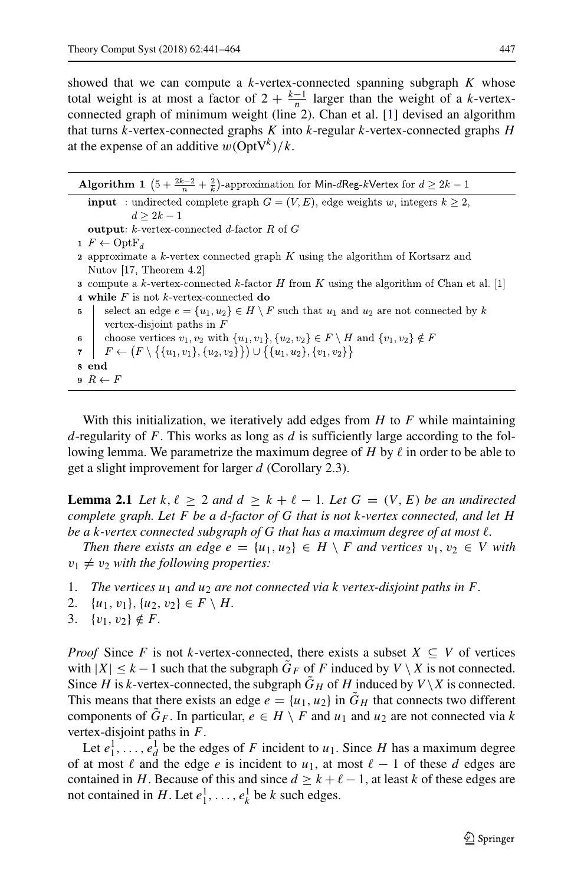showed that we can compute a  $k$ -vertex-connected spanning subgraph  $K$  whose total weight is at most a factor of  $2 + \frac{k-1}{n}$  larger than the weight of a k-vertexconnected graph of minimum weight (line 2). Chan et al. [\[1\]](#page-22-3) devised an algorithm that turns  $k$ -vertex-connected graphs  $K$  into  $k$ -regular  $k$ -vertex-connected graphs  $H$ at the expense of an additive  $w(\text{OptV}^k)/k$ .

| <b>Algorithm 1</b> $(5 + \frac{2k-2}{n} + \frac{2}{k})$ -approximation for Min-dReg-kVertex for $d \geq 2k-1$ |                                                                                                                   |  |  |  |
|---------------------------------------------------------------------------------------------------------------|-------------------------------------------------------------------------------------------------------------------|--|--|--|
|                                                                                                               | <b>input</b> : undirected complete graph $G = (V, E)$ , edge weights w, integers $k \geq 2$ ,                     |  |  |  |
|                                                                                                               | $d \geq 2k - 1$                                                                                                   |  |  |  |
|                                                                                                               | <b>output:</b> k-vertex-connected d-factor R of G                                                                 |  |  |  |
|                                                                                                               | $1 F \leftarrow OptF_d$                                                                                           |  |  |  |
|                                                                                                               | <b>2</b> approximate a k-vertex connected graph $K$ using the algorithm of Kortsarz and                           |  |  |  |
|                                                                                                               | Nutov [17, Theorem $4.2$ ]                                                                                        |  |  |  |
|                                                                                                               | <b>3</b> compute a k-vertex-connected k-factor H from K using the algorithm of Chan et al. [1]                    |  |  |  |
|                                                                                                               | 4 while $F$ is not k-vertex-connected do                                                                          |  |  |  |
| $5 -$                                                                                                         | select an edge $e = \{u_1, u_2\} \in H \setminus F$ such that $u_1$ and $u_2$ are not connected by k              |  |  |  |
|                                                                                                               | vertex-disjoint paths in $F$                                                                                      |  |  |  |
|                                                                                                               | 6   choose vertices $v_1, v_2$ with $\{u_1, v_1\}$ , $\{u_2, v_2\} \in F \setminus H$ and $\{v_1, v_2\} \notin F$ |  |  |  |
|                                                                                                               | 7   $F \leftarrow (F \setminus \{\{u_1, v_1\}, \{u_2, v_2\}\}) \cup \{\{u_1, u_2\}, \{v_1, v_2\}\}\$              |  |  |  |
| 8 end                                                                                                         |                                                                                                                   |  |  |  |
|                                                                                                               | $B \leftarrow F$                                                                                                  |  |  |  |

With this initialization, we iteratively add edges from  $H$  to  $F$  while maintaining d-regularity of F. This works as long as  $d$  is sufficiently large according to the following lemma. We parametrize the maximum degree of H by  $\ell$  in order to be able to get a slight improvement for larger d (Corollary 2.3).

**Lemma 2.1** Let  $k, \ell \geq 2$  and  $d \geq k + \ell - 1$ . Let  $G = (V, E)$  be an undirected *complete graph. Let* F *be a* d*-factor of* G *that is not* k*-vertex connected, and let* H *be a* k*-vertex connected subgraph of* G *that has a maximum degree of at most* ℓ*.*

*Then there exists an edge*  $e = \{u_1, u_2\} \in H \setminus F$  *and vertices*  $v_1, v_2 \in V$  *with*  $v_1 \neq v_2$  *with the following properties:* 

- 1. *The vertices*  $u_1$  *and*  $u_2$  *are not connected via k vertex-disjoint paths in*  $F$ *.*
- 2.  $\{u_1, v_1\}, \{u_2, v_2\} \in F \setminus H$ .
- 3.  $\{v_1, v_2\} \notin F$ .

*Proof* Since F is not k-vertex-connected, there exists a subset  $X \subseteq V$  of vertices with  $|X| \leq k - 1$  such that the subgraph  $G_F$  of F induced by  $V \setminus X$  is not connected. Since H is k-vertex-connected, the subgraph  $G_H$  of H induced by  $V \setminus X$  is connected. This means that there exists an edge  $e = \{u_1, u_2\}$  in  $\tilde{G}_H$  that connects two different components of  $\tilde{G}_F$ . In particular,  $e \in H \setminus F$  and  $u_1$  and  $u_2$  are not connected via k vertex-disjoint paths in F.

Let  $e_1^1, \ldots, e_d^1$  be the edges of F incident to  $u_1$ . Since H has a maximum degree of at most  $\ell$  and the edge  $e$  is incident to  $u_1$ , at most  $\ell - 1$  of these d edges are contained in H. Because of this and since  $d \geq k + \ell - 1$ , at least k of these edges are not contained in H. Let  $e_1^1, \ldots, e_k^1$  be k such edges.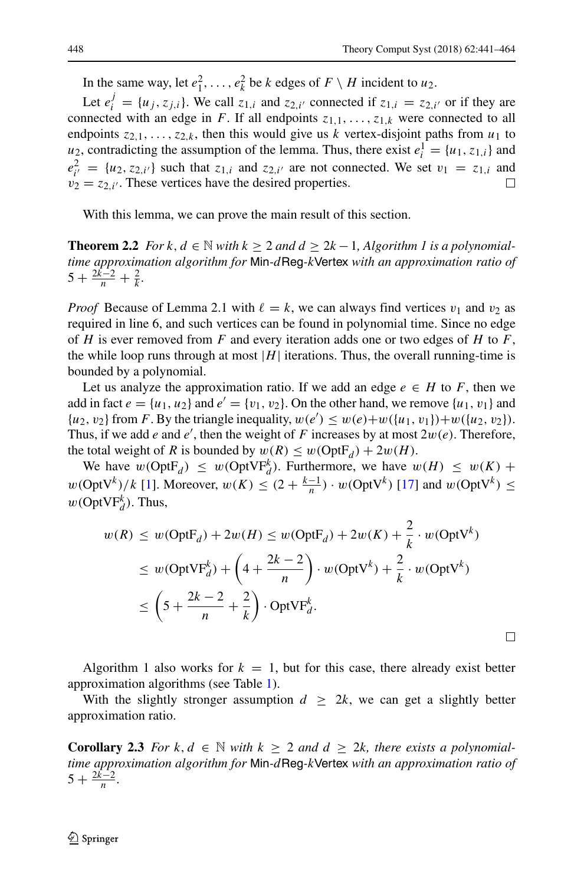$\Box$ 

In the same way, let  $e_1^2, \ldots, e_k^2$  be k edges of  $F \setminus H$  incident to  $u_2$ .

Let  $e_i^j = \{u_j, z_{j,i}\}\.$  We call  $z_{1,i}$  and  $z_{2,i'}$  connected if  $z_{1,i} = z_{2,i'}$  or if they are connected with an edge in F. If all endpoints  $z_{1,1},\ldots,z_{1,k}$  were connected to all endpoints  $z_{2,1},...,z_{2,k}$ , then this would give us k vertex-disjoint paths from  $u_1$  to  $u_2$ , contradicting the assumption of the lemma. Thus, there exist  $e_i^1 = \{u_1, z_{1,i}\}\$ and  $e_{i'}^2 = \{u_2, z_{2,i'}\}$  such that  $z_{1,i}$  and  $z_{2,i'}$  are not connected. We set  $v_1 = z_{1,i}$  and  $v_2 = z_{2,i'}$ . These vertices have the desired properties.  $\Box$ 

With this lemma, we can prove the main result of this section.

**Theorem 2.2** *For*  $k$ ,  $d \in \mathbb{N}$  *with*  $k \geq 2$  *and*  $d \geq 2k - 1$ , *Algorithm 1 is a polynomialtime approximation algorithm for* Min*-*dReg*-*kVertex *with an approximation ratio of*  $5 + \frac{2k-2}{n} + \frac{2}{k}$ .

*Proof* Because of Lemma 2.1 with  $\ell = k$ , we can always find vertices  $v_1$  and  $v_2$  as required in line 6, and such vertices can be found in polynomial time. Since no edge of H is ever removed from F and every iteration adds one or two edges of H to F, the while loop runs through at most  $|H|$  iterations. Thus, the overall running-time is bounded by a polynomial.

Let us analyze the approximation ratio. If we add an edge  $e \in H$  to F, then we add in fact  $e = \{u_1, u_2\}$  and  $e' = \{v_1, v_2\}$ . On the other hand, we remove  $\{u_1, v_1\}$  and  $\{u_2, v_2\}$  from F. By the triangle inequality,  $w(e') \leq w(e) + w(\{u_1, v_1\}) + w(\{u_2, v_2\}).$ Thus, if we add e and e', then the weight of F increases by at most  $2w(e)$ . Therefore, the total weight of R is bounded by  $w(R) \leq w(OptF_d) + 2w(H)$ .

We have  $w(\text{OptF}_d) \leq w(\text{OptVF}_d^k)$ . Furthermore, we have  $w(H) \leq w(K)$  +  $w(\text{OptV}^k)/k$  [\[1\]](#page-22-3). Moreover,  $w(K) \le (2 + \frac{k-1}{n}) \cdot w(\text{OptV}^k)$  [\[17\]](#page-22-12) and  $w(\text{OptV}^k) \le$  $w(\text{OptVF}_{d}^{k})$ . Thus,

$$
w(R) \le w(\text{OptF}_d) + 2w(H) \le w(\text{OptF}_d) + 2w(K) + \frac{2}{k} \cdot w(\text{OptV}^k)
$$
  
\n
$$
\le w(\text{OptVF}_d^k) + \left(4 + \frac{2k - 2}{n}\right) \cdot w(\text{OptV}^k) + \frac{2}{k} \cdot w(\text{OptV}^k)
$$
  
\n
$$
\le \left(5 + \frac{2k - 2}{n} + \frac{2}{k}\right) \cdot \text{OptVF}_d^k.
$$

Algorithm 1 also works for  $k = 1$ , but for this case, there already exist better approximation algorithms (see Table [1\)](#page-4-0).

With the slightly stronger assumption  $d \geq 2k$ , we can get a slightly better approximation ratio.

**Corollary 2.3** *For*  $k, d \in \mathbb{N}$  *with*  $k \geq 2$  *and*  $d \geq 2k$ *, there exists a polynomialtime approximation algorithm for* Min*-*dReg*-*kVertex *with an approximation ratio of*  $5 + \frac{2k-2}{n}$ .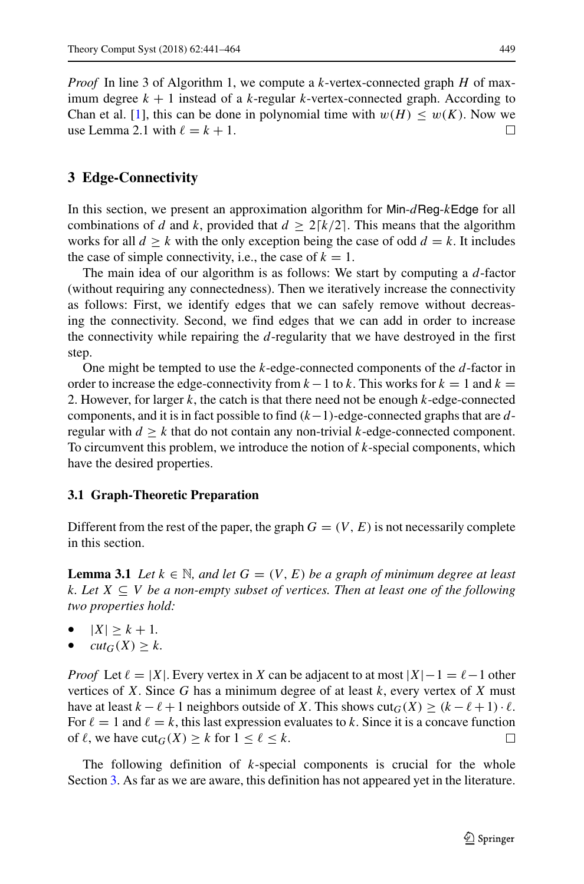*Proof* In line 3 of Algorithm 1, we compute a k-vertex-connected graph H of maximum degree  $k + 1$  instead of a k-regular k-vertex-connected graph. According to Chan et al. [\[1\]](#page-22-3), this can be done in polynomial time with  $w(H) \leq w(K)$ . Now we use Lemma 2.1 with  $\ell = k + 1$ .  $\Box$ 

# <span id="page-8-0"></span>**3 Edge-Connectivity**

In this section, we present an approximation algorithm for  $Min-dReg-kEdge$  for all combinations of d and k, provided that  $d \geq 2 \lceil k/2 \rceil$ . This means that the algorithm works for all  $d \geq k$  with the only exception being the case of odd  $d = k$ . It includes the case of simple connectivity, i.e., the case of  $k = 1$ .

The main idea of our algorithm is as follows: We start by computing a  $d$ -factor (without requiring any connectedness). Then we iteratively increase the connectivity as follows: First, we identify edges that we can safely remove without decreasing the connectivity. Second, we find edges that we can add in order to increase the connectivity while repairing the  $d$ -regularity that we have destroyed in the first step.

One might be tempted to use the  $k$ -edge-connected components of the  $d$ -factor in order to increase the edge-connectivity from  $k-1$  to k. This works for  $k = 1$  and  $k =$ 2. However, for larger  $k$ , the catch is that there need not be enough  $k$ -edge-connected components, and it is in fact possible to find  $(k-1)$ -edge-connected graphs that are dregular with  $d \geq k$  that do not contain any non-trivial k-edge-connected component. To circumvent this problem, we introduce the notion of  $k$ -special components, which have the desired properties.

### **3.1 Graph-Theoretic Preparation**

Different from the rest of the paper, the graph  $G = (V, E)$  is not necessarily complete in this section.

**Lemma 3.1** *Let*  $k \in \mathbb{N}$ *, and let*  $G = (V, E)$  *be a graph of minimum degree at least* k*. Let* X ⊆ V *be a non-empty subset of vertices. Then at least one of the following two properties hold:*

- $|X| \geq k + 1$ .
- $cut_G(X) \geq k$ .

*Proof* Let  $\ell = |X|$ . Every vertex in X can be adjacent to at most  $|X| - 1 = \ell - 1$  other vertices of X. Since G has a minimum degree of at least  $k$ , every vertex of X must have at least  $k - \ell + 1$  neighbors outside of X. This shows  $\text{cut}_G(X) \ge (k - \ell + 1) \cdot \ell$ . For  $\ell = 1$  and  $\ell = k$ , this last expression evaluates to k. Since it is a concave function of  $\ell$ , we have  $\text{cut}_G(X) \geq k$  for  $1 \leq \ell \leq k$ .  $\Box$ 

The following definition of  $k$ -special components is crucial for the whole Section [3.](#page-8-0) As far as we are aware, this definition has not appeared yet in the literature.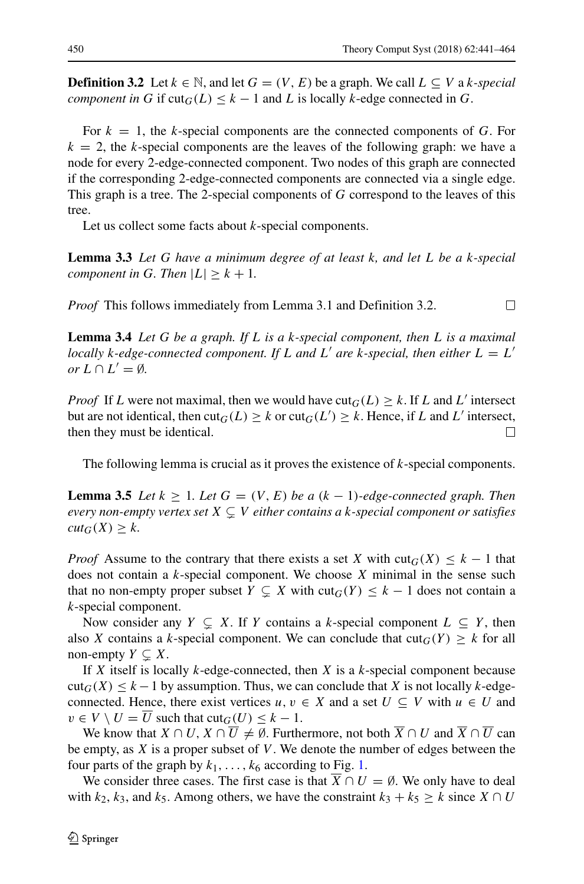**Definition 3.2** Let  $k \in \mathbb{N}$ , and let  $G = (V, E)$  be a graph. We call  $L ⊆ V$  a k-special *component in* G if  $\text{cut}_G(L) \leq k - 1$  and L is locally k-edge connected in G.

For  $k = 1$ , the k-special components are the connected components of G. For  $k = 2$ , the k-special components are the leaves of the following graph: we have a node for every 2-edge-connected component. Two nodes of this graph are connected if the corresponding 2-edge-connected components are connected via a single edge. This graph is a tree. The 2-special components of G correspond to the leaves of this tree.

Let us collect some facts about *k*-special components.

**Lemma 3.3** *Let* G *have a minimum degree of at least* k*, and let* L *be a* k*-special component in* G. Then  $|L| \geq k + 1$ .

*Proof* This follows immediately from Lemma 3.1 and Definition 3.2.  $\Box$ 

**Lemma 3.4** *Let* G *be a graph. If* L *is a* k*-special component, then* L *is a maximal locally k*-edge-connected component. If L and L' are *k*-special, then either  $L = L'$  $or L \cap L' = \emptyset.$ 

*Proof* If L were not maximal, then we would have  $\text{cut}_G(L) \geq k$ . If L and L' intersect but are not identical, then  $\text{cut}_G(L) \geq k$  or  $\text{cut}_G(L') \geq k$ . Hence, if L and L' intersect, then they must be identical.  $\Box$ 

The following lemma is crucial as it proves the existence of k-special components.

**Lemma 3.5** *Let*  $k \geq 1$ *. Let*  $G = (V, E)$  *be a*  $(k - 1)$ *-edge-connected graph. Then every non-empty vertex set* X - V *either contains a* k*-special component or satisfies*  $cut_G(X) \geq k$ .

*Proof* Assume to the contrary that there exists a set X with  $\text{cut}_G(X) \leq k - 1$  that does not contain a  $k$ -special component. We choose  $X$  minimal in the sense such that no non-empty proper subset  $Y \subsetneq X$  with  $\text{cut}_G(Y) \leq k - 1$  does not contain a k-special component.

Now consider any  $Y \subsetneq X$ . If Y contains a k-special component  $L \subseteq Y$ , then also X contains a k-special component. We can conclude that  $\text{cut}_G(Y) \geq k$  for all non-empty  $Y \subsetneq X$ .

If  $X$  itself is locally  $k$ -edge-connected, then  $X$  is a  $k$ -special component because  $\text{cut}_G(X) \leq k - 1$  by assumption. Thus, we can conclude that X is not locally k-edgeconnected. Hence, there exist vertices  $u, v \in X$  and a set  $U \subseteq V$  with  $u \in U$  and  $v \in V \setminus U = \overline{U}$  such that  $\text{cut}_G(U) \leq k - 1$ .

We know that  $X \cap U$ ,  $X \cap \overline{U} \neq \emptyset$ . Furthermore, not both  $\overline{X} \cap U$  and  $\overline{X} \cap \overline{U}$  can be empty, as  $X$  is a proper subset of  $V$ . We denote the number of edges between the four parts of the graph by  $k_1, \ldots, k_6$  according to Fig. [1.](#page-10-0)

We consider three cases. The first case is that  $X \cap U = \emptyset$ . We only have to deal with  $k_2$ ,  $k_3$ , and  $k_5$ . Among others, we have the constraint  $k_3 + k_5 \geq k$  since  $X \cap U$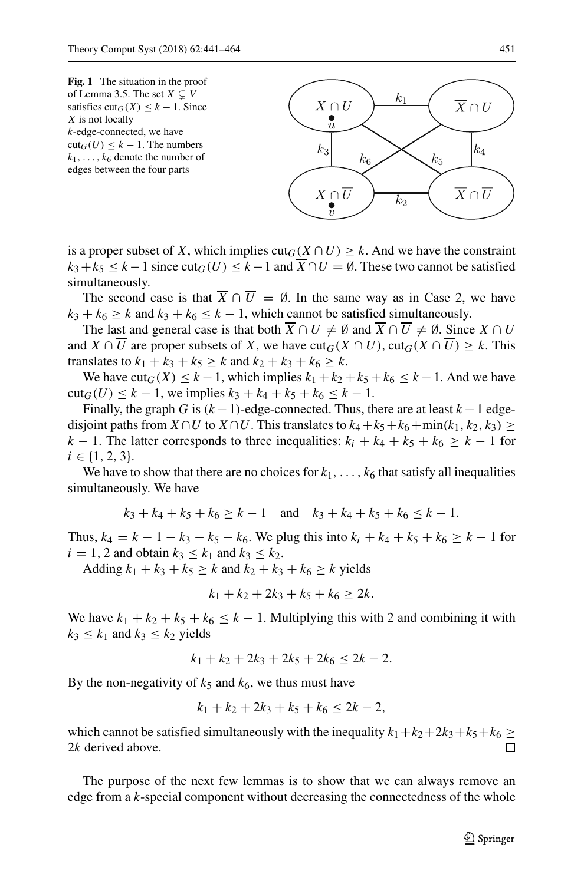<span id="page-10-0"></span>



is a proper subset of X, which implies  $\text{cut}_G(X \cap U) \geq k$ . And we have the constraint  $k_3+k_5 \leq k-1$  since cut $_G(U) \leq k-1$  and  $\overline{X} \cap U = \emptyset$ . These two cannot be satisfied simultaneously.

The second case is that  $\overline{X} \cap \overline{U} = \emptyset$ . In the same way as in Case 2, we have  $k_3 + k_6 \ge k$  and  $k_3 + k_6 \le k - 1$ , which cannot be satisfied simultaneously.

The last and general case is that both  $\overline{X} \cap U \neq \emptyset$  and  $\overline{X} \cap \overline{U} \neq \emptyset$ . Since  $X \cap U$ and  $X \cap U$  are proper subsets of X, we have  $\text{cut}_G(X \cap U)$ ,  $\text{cut}_G(X \cap \overline{U}) \geq k$ . This translates to  $k_1 + k_3 + k_5 \ge k$  and  $k_2 + k_3 + k_6 \ge k$ .

We have  $\text{cut}_G(X) \leq k - 1$ , which implies  $k_1 + k_2 + k_5 + k_6 \leq k - 1$ . And we have  $cut_G(U) \leq k - 1$ , we implies  $k_3 + k_4 + k_5 + k_6 \leq k - 1$ .

Finally, the graph G is  $(k - 1)$ -edge-connected. Thus, there are at least  $k - 1$  edgedisjoint paths from  $X \cap U$  to  $X \cap U$ . This translates to  $k_4 + k_5 + k_6 + \min(k_1, k_2, k_3) \ge$  $k - 1$ . The latter corresponds to three inequalities:  $k_i + k_4 + k_5 + k_6 \geq k - 1$  for  $i \in \{1, 2, 3\}.$ 

We have to show that there are no choices for  $k_1, \ldots, k_6$  that satisfy all inequalities simultaneously. We have

$$
k_3 + k_4 + k_5 + k_6 \ge k - 1
$$
 and  $k_3 + k_4 + k_5 + k_6 \le k - 1$ .

Thus,  $k_4 = k - 1 - k_3 - k_5 - k_6$ . We plug this into  $k_i + k_4 + k_5 + k_6 \geq k - 1$  for  $i = 1, 2$  and obtain  $k_3 \leq k_1$  and  $k_3 \leq k_2$ .

Adding  $k_1 + k_3 + k_5 \ge k$  and  $k_2 + k_3 + k_6 \ge k$  yields

$$
k_1 + k_2 + 2k_3 + k_5 + k_6 \geq 2k.
$$

We have  $k_1 + k_2 + k_5 + k_6 \leq k - 1$ . Multiplying this with 2 and combining it with  $k_3 \leq k_1$  and  $k_3 \leq k_2$  yields

$$
k_1 + k_2 + 2k_3 + 2k_5 + 2k_6 \le 2k - 2.
$$

By the non-negativity of  $k_5$  and  $k_6$ , we thus must have

$$
k_1 + k_2 + 2k_3 + k_5 + k_6 \le 2k - 2,
$$

which cannot be satisfied simultaneously with the inequality  $k_1+k_2+2k_3+k_5+k_6 \ge$ 2k derived above.  $\Box$ 

The purpose of the next few lemmas is to show that we can always remove an edge from a k-special component without decreasing the connectedness of the whole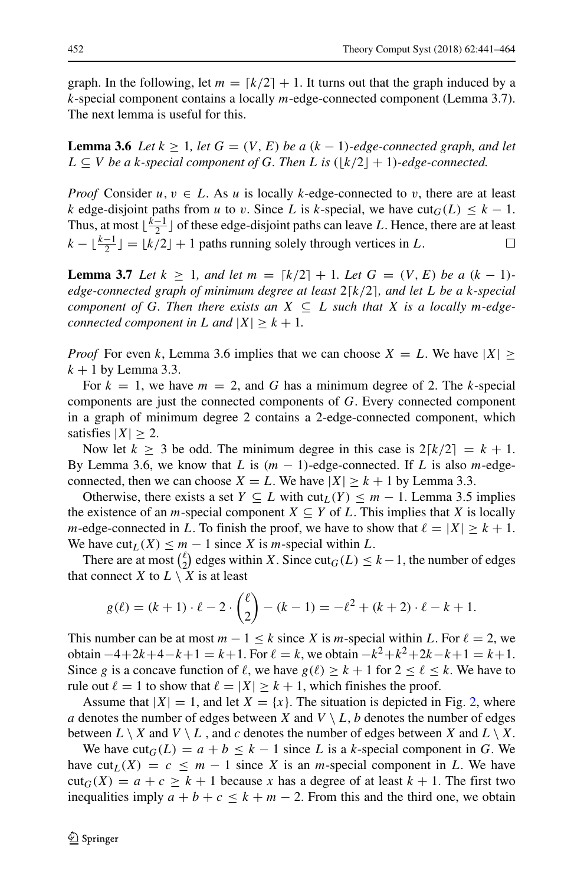graph. In the following, let  $m = \lfloor k/2 \rfloor + 1$ . It turns out that the graph induced by a k-special component contains a locally m-edge-connected component (Lemma 3.7). The next lemma is useful for this.

**Lemma 3.6** *Let*  $k \geq 1$ *, let*  $G = (V, E)$  *be a*  $(k - 1)$ *-edge-connected graph, and let*  $L ⊆ V$  *be a k-special component of* G. Then L is  $(\lfloor k/2 \rfloor + 1)$ -edge-connected.

*Proof* Consider  $u, v \in L$ . As u is locally k-edge-connected to v, there are at least k edge-disjoint paths from u to v. Since L is k-special, we have  $\text{cut}_G(L) \leq k - 1$ . Thus, at most  $\lfloor \frac{k-1}{2} \rfloor$  of these edge-disjoint paths can leave L. Hence, there are at least  $k - \lfloor \frac{k-1}{2} \rfloor = \lfloor k/2 \rfloor + 1$  paths running solely through vertices in L.  $\Box$ 

**Lemma 3.7** *Let*  $k \geq 1$ *, and let*  $m = \lfloor k/2 \rfloor + 1$ *. Let*  $G = (V, E)$  *be a*  $(k - 1)$ *edge-connected graph of minimum degree at least* 2⌈k/2⌉*, and let* L *be a* k*-special component of* G. Then there exists an  $X \subseteq L$  such that X is a locally m-edge*connected component in L* and  $|X| \geq k + 1$ .

*Proof* For even k, Lemma 3.6 implies that we can choose  $X = L$ . We have  $|X| \ge$  $k + 1$  by Lemma 3.3.

For  $k = 1$ , we have  $m = 2$ , and G has a minimum degree of 2. The k-special components are just the connected components of G. Every connected component in a graph of minimum degree 2 contains a 2-edge-connected component, which satisfies  $|X| \geq 2$ .

Now let  $k \geq 3$  be odd. The minimum degree in this case is  $2[k/2] = k + 1$ . By Lemma 3.6, we know that L is  $(m - 1)$ -edge-connected. If L is also m-edgeconnected, then we can choose  $X = L$ . We have  $|X| \ge k + 1$  by Lemma 3.3.

Otherwise, there exists a set  $Y \subseteq L$  with  $\text{cut}_L(Y) \leq m - 1$ . Lemma 3.5 implies the existence of an *m*-special component  $X \subseteq Y$  of L. This implies that X is locally m-edge-connected in L. To finish the proof, we have to show that  $\ell = |X| \geq k + 1$ . We have  $\text{cut}_L(X) \leq m - 1$  since X is m-special within L.

There are at most  $\binom{\ell}{2}$  $\binom{k}{2}$  edges within X. Since cut<sub>G</sub>(*L*) ≤ *k* − 1, the number of edges that connect X to  $L \setminus X$  is at least

$$
g(\ell) = (k+1) \cdot \ell - 2 \cdot \binom{\ell}{2} - (k-1) = -\ell^2 + (k+2) \cdot \ell - k + 1.
$$

This number can be at most  $m - 1 \le k$  since X is m-special within L. For  $\ell = 2$ , we obtain  $-4+2k+4-k+1 = k+1$ . For  $\ell = k$ , we obtain  $-k^2+k^2+2k-k+1 = k+1$ . Since g is a concave function of  $\ell$ , we have  $g(\ell) \geq k + 1$  for  $2 \leq \ell \leq k$ . We have to rule out  $\ell = 1$  to show that  $\ell = |X| \geq k + 1$ , which finishes the proof.

Assume that  $|X| = 1$ , and let  $X = \{x\}$ . The situation is depicted in Fig. [2,](#page-12-0) where a denotes the number of edges between X and  $V \setminus L$ , b denotes the number of edges between  $L \setminus X$  and  $V \setminus L$ , and c denotes the number of edges between X and  $L \setminus X$ .

We have  $\text{cut}_G(L) = a + b \leq k - 1$  since L is a k-special component in G. We have cut<sub>L</sub>(X) = c le m − 1 since X is an m-special component in L. We have  $\text{cut}_G(X) = a + c \ge k + 1$  because x has a degree of at least  $k + 1$ . The first two inequalities imply  $a + b + c \leq k + m - 2$ . From this and the third one, we obtain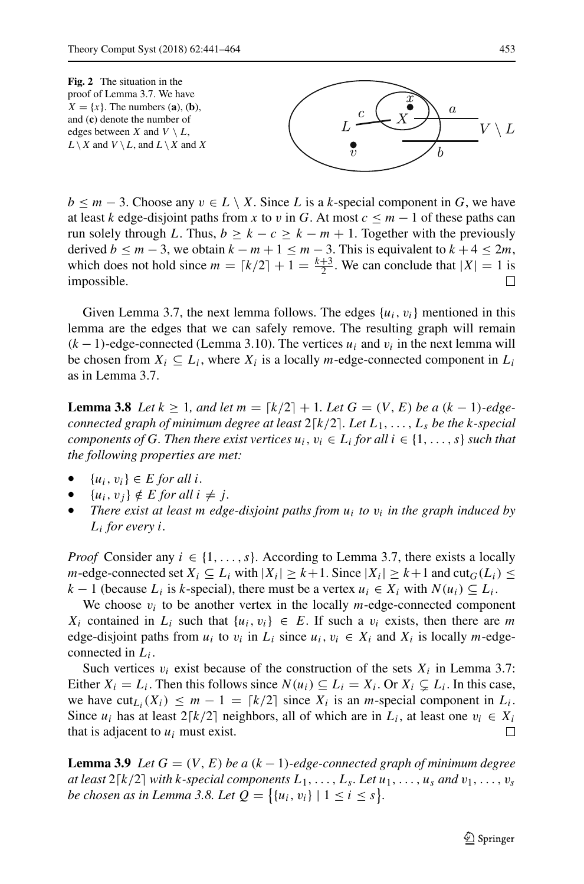<span id="page-12-0"></span>**Fig. 2** The situation in the proof of Lemma 3.7. We have  $X = \{x\}$ . The numbers (**a**), (**b**), and (**c**) denote the number of edges between X and  $V \setminus L$ ,  $L \setminus X$  and  $V \setminus L$ , and  $L \setminus X$  and X



 $b \le m-3$ . Choose any  $v \in L \setminus X$ . Since L is a k-special component in G, we have at least k edge-disjoint paths from x to v in G. At most  $c \leq m - 1$  of these paths can run solely through L. Thus,  $b \ge k - c \ge k - m + 1$ . Together with the previously derived  $b \le m-3$ , we obtain  $k-m+1 \le m-3$ . This is equivalent to  $k+4 \le 2m$ , which does not hold since  $m = \lceil k/2 \rceil + 1 = \frac{k+3}{2}$ . We can conclude that  $|X| = 1$  is impossible.  $\Box$ 

Given Lemma 3.7, the next lemma follows. The edges  $\{u_i, v_i\}$  mentioned in this lemma are the edges that we can safely remove. The resulting graph will remain  $(k-1)$ -edge-connected (Lemma 3.10). The vertices  $u_i$  and  $v_i$  in the next lemma will be chosen from  $X_i \subseteq L_i$ , where  $X_i$  is a locally *m*-edge-connected component in  $L_i$ as in Lemma 3.7.

**Lemma 3.8** *Let*  $k \geq 1$ *, and let*  $m = \lfloor k/2 \rfloor + 1$ *. Let*  $G = (V, E)$  *be a*  $(k - 1)$ *-edgeconnected graph of minimum degree at least* 2⌈k/2⌉*. Let* L1,...,L<sup>s</sup> *be the* k*-special components of G. Then there exist vertices*  $u_i$ ,  $v_i \in L_i$  *for all*  $i \in \{1, \ldots, s\}$  *such that the following properties are met:*

- {ui, vi} ∈ E *for all* i*.*
- ${u_i, v_j} \notin E$  *for all*  $i \neq j$ *.*
- *There exist at least m edge-disjoint paths from*  $u_i$  *to*  $v_i$  *in the graph induced by* Li *for every* i*.*

*Proof* Consider any  $i \in \{1, \ldots, s\}$ . According to Lemma 3.7, there exists a locally *m*-edge-connected set  $X_i \subseteq L_i$  with  $|X_i| \geq k+1$ . Since  $|X_i| \geq k+1$  and  $\text{cut}_G(L_i) \leq$  $k-1$  (because  $L_i$  is k-special), there must be a vertex  $u_i \in X_i$  with  $N(u_i) \subseteq L_i$ .

We choose  $v_i$  to be another vertex in the locally *m*-edge-connected component  $X_i$  contained in  $L_i$  such that  $\{u_i, v_i\} \in E$ . If such a  $v_i$  exists, then there are m edge-disjoint paths from  $u_i$  to  $v_i$  in  $L_i$  since  $u_i, v_i \in X_i$  and  $X_i$  is locally m-edgeconnected in  $L_i$ .

Such vertices  $v_i$  exist because of the construction of the sets  $X_i$  in Lemma 3.7: Either  $X_i = L_i$ . Then this follows since  $N(u_i) \subseteq L_i = X_i$ . Or  $X_i \subsetneq L_i$ . In this case, we have  $\text{cut}_{L_i}(X_i) \leq m - 1 = \lceil k/2 \rceil$  since  $X_i$  is an *m*-special component in  $L_i$ . Since  $u_i$  has at least  $2[k/2]$  neighbors, all of which are in  $L_i$ , at least one  $v_i \in X_i$ that is adjacent to  $u_i$  must exist.  $\Box$ 

**Lemma 3.9** *Let*  $G = (V, E)$  *be a*  $(k - 1)$ *-edge-connected graph of minimum degree* at least  $2\lceil k/2 \rceil$  with k-special components  $L_1, \ldots, L_s$ . Let  $u_1, \ldots, u_s$  and  $v_1, \ldots, v_s$ *be chosen as in Lemma 3.8. Let*  $Q = \{ \{u_i, v_i\} \mid 1 \le i \le s \}.$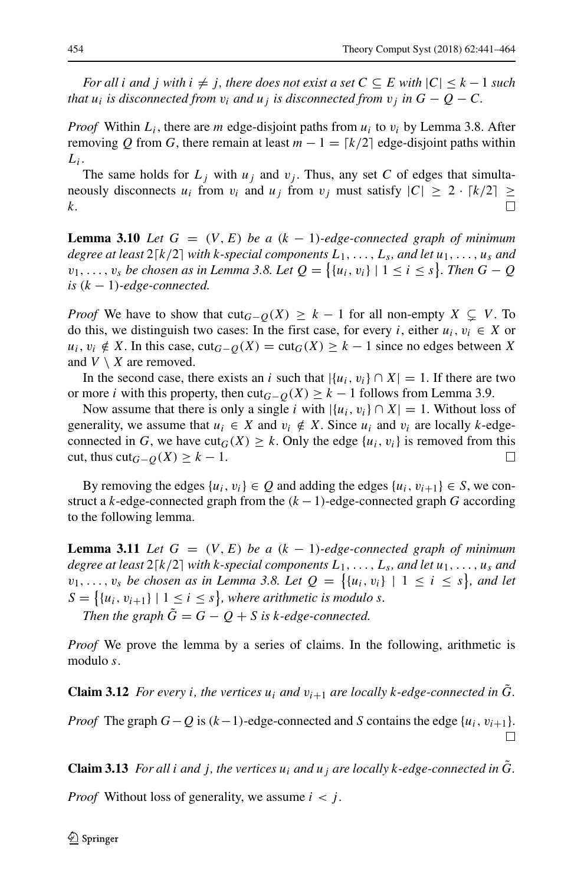*For all* i *and* j *with*  $i \neq j$ , *there does not exist a set*  $C \subseteq E$  *with*  $|C| \leq k - 1$  *such* that  $u_i$  is disconnected from  $v_i$  and  $u_j$  is disconnected from  $v_j$  in  $G-Q-C$ .

*Proof* Within  $L_i$ , there are *m* edge-disjoint paths from  $u_i$  to  $v_i$  by Lemma 3.8. After removing Q from G, there remain at least  $m - 1 = \lfloor k/2 \rfloor$  edge-disjoint paths within  $L_i$ .

The same holds for  $L_j$  with  $u_j$  and  $v_j$ . Thus, any set C of edges that simultaneously disconnects  $u_i$  from  $v_i$  and  $u_j$  from  $v_j$  must satisfy  $|C| \geq 2 \cdot \lceil k/2 \rceil \geq$ k.  $\Box$ 

**Lemma 3.10** *Let*  $G = (V, E)$  *be a*  $(k - 1)$ *-edge-connected graph of minimum degree at least* 2⌈k/2⌉ *with* k*-special components* L1,...,L<sup>s</sup> *, and let* u1,...,u<sup>s</sup> *and*  $v_1, \ldots, v_s$  *be chosen as in Lemma 3.8. Let*  $Q = \{ \{u_i, v_i\} \mid 1 \le i \le s \}$ *. Then*  $G - Q$  $is (k-1)$ -edge-connected.

*Proof* We have to show that  $cut_{G-Q}(X) \geq k-1$  for all non-empty  $X \subsetneq V$ . To do this, we distinguish two cases: In the first case, for every i, either  $u_i, v_i \in X$  or  $u_i, v_i \notin X$ . In this case, cut $_{G-O}(X) = \text{cut}_G(X) \geq k-1$  since no edges between X and  $V \setminus X$  are removed.

In the second case, there exists an i such that  $|\{u_i, v_i\} \cap X| = 1$ . If there are two or more *i* with this property, then cut<sub>G−Q</sub>(X)  $\geq$  k – 1 follows from Lemma 3.9.

Now assume that there is only a single i with  $|\{u_i, v_i\} \cap X| = 1$ . Without loss of generality, we assume that  $u_i \in X$  and  $v_i \notin X$ . Since  $u_i$  and  $v_i$  are locally k-edgeconnected in G, we have  $\text{cut}_G(X) \geq k$ . Only the edge  $\{u_i, v_i\}$  is removed from this cut, thus cut $_{G-O}(X) \geq k-1$ .  $\Box$ 

By removing the edges  $\{u_i, v_i\} \in \mathcal{Q}$  and adding the edges  $\{u_i, v_{i+1}\} \in \mathcal{S}$ , we construct a k-edge-connected graph from the  $(k - 1)$ -edge-connected graph G according to the following lemma.

**Lemma 3.11** *Let*  $G = (V, E)$  *be a*  $(k - 1)$ *-edge-connected graph of minimum degree at least* 2⌈k/2⌉ *with* k*-special components* L1,...,L<sup>s</sup> *, and let* u1,...,u<sup>s</sup> *and*  $v_1, \ldots, v_s$  *be chosen as in Lemma 3.8. Let*  $Q = \{u_i, v_i\} \mid 1 \leq i \leq s\}$ , and let  $S = \{ \{u_i, v_{i+1}\} \mid 1 \leq i \leq s \}$ , where arithmetic is modulo s. *Then the graph*  $\ddot{G} = G - Q + S$  *is k-edge-connected.* 

*Proof* We prove the lemma by a series of claims. In the following, arithmetic is modulo s.

**Claim 3.12** *For every i*, *the vertices*  $u_i$  *and*  $v_{i+1}$  *are locally k*-edge-connected in G. *Proof* The graph  $G-Q$  is  $(k-1)$ -edge-connected and S contains the edge  $\{u_i, v_{i+1}\}.$  $\Box$ 

**Claim 3.13** *For all i and j*, *the vertices*  $u_i$  *and*  $u_j$  *are locally k*-*edge-connected in G*.

*Proof* Without loss of generality, we assume  $i < j$ .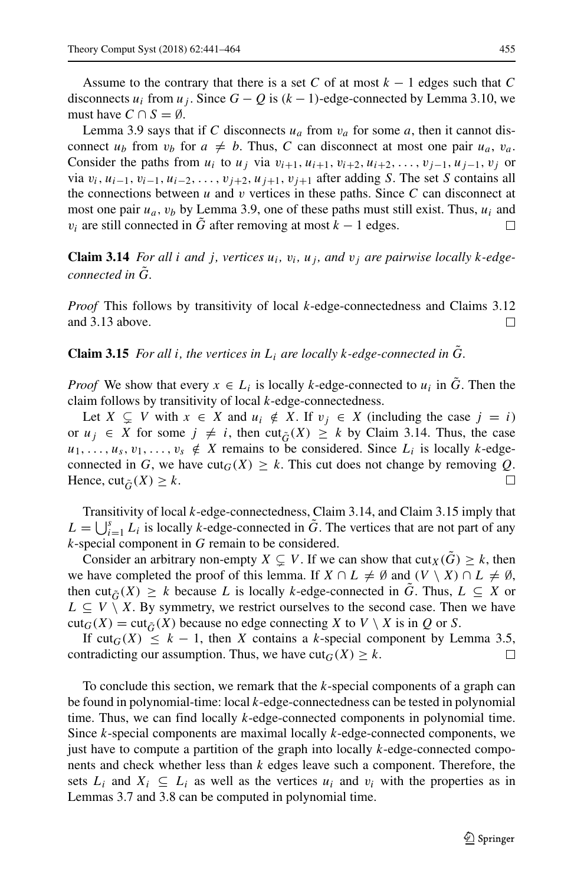Assume to the contrary that there is a set C of at most  $k - 1$  edges such that C disconnects  $u_i$  from  $u_j$ . Since  $G - Q$  is  $(k - 1)$ -edge-connected by Lemma 3.10, we must have  $C \cap S = \emptyset$ .

Lemma 3.9 says that if C disconnects  $u_a$  from  $v_a$  for some a, then it cannot disconnect  $u_b$  from  $v_b$  for  $a \neq b$ . Thus, C can disconnect at most one pair  $u_a$ ,  $v_a$ . Consider the paths from  $u_i$  to  $u_j$  via  $v_{i+1}, u_{i+1}, v_{i+2}, u_{i+2}, \ldots, v_{j-1}, u_{j-1}, v_j$  or via  $v_i$ ,  $u_{i-1}$ ,  $v_{i-1}$ ,  $u_{i-2}$ , ...,  $v_{j+2}$ ,  $u_{j+1}$ ,  $v_{j+1}$  after adding S. The set S contains all the connections between  $u$  and  $v$  vertices in these paths. Since  $C$  can disconnect at most one pair  $u_a$ ,  $v_b$  by Lemma 3.9, one of these paths must still exist. Thus,  $u_i$  and  $v_i$  are still connected in G after removing at most  $k - 1$  edges. П

**Claim 3.14** *For all i and j, vertices*  $u_i$ ,  $v_i$ ,  $u_j$ , and  $v_j$  are pairwise locally k-edge*connected in G.* 

*Proof* This follows by transitivity of local k-edge-connectedness and Claims 3.12 and 3.13 above.  $\Box$ 

**Claim 3.15** *For all i, the vertices in*  $L_i$  *are locally k-edge-connected in G.* 

*Proof* We show that every  $x \in L_i$  is locally k-edge-connected to  $u_i$  in  $\tilde{G}$ . Then the claim follows by transitivity of local k-edge-connectedness.

Let  $X \subseteq V$  with  $x \in X$  and  $u_i \notin X$ . If  $v_j \in X$  (including the case  $j = i$ ) or  $u_j \in X$  for some  $j \neq i$ , then cut $_{\tilde{G}}(X) \geq k$  by Claim 3.14. Thus, the case  $u_1, \ldots, u_s, v_1, \ldots, v_s \notin X$  remains to be considered. Since  $L_i$  is locally k-edgeconnected in G, we have  $\text{cut}_G(X) \geq k$ . This cut does not change by removing Q. Hence, cut<sub> $\tilde{G}(X) \geq k$ .</sub>  $\perp$ 

Transitivity of local k-edge-connectedness, Claim 3.14, and Claim 3.15 imply that  $L = \bigcup_{i=1}^{s} L_i$  is locally k-edge-connected in  $\tilde{G}$ . The vertices that are not part of any k-special component in G remain to be considered.

Consider an arbitrary non-empty  $X \subsetneq V$ . If we can show that  $\text{cut}_X(\tilde{G}) \geq k$ , then we have completed the proof of this lemma. If  $X \cap L \neq \emptyset$  and  $(V \setminus X) \cap L \neq \emptyset$ , then cut<sub> $\tilde{G}(X) \geq k$  because L is locally k-edge-connected in G. Thus,  $L \subseteq X$  or</sub>  $L \subseteq V \setminus X$ . By symmetry, we restrict ourselves to the second case. Then we have  $cut_G(X) = cut_{\tilde{G}}(X)$  because no edge connecting X to  $V \setminus X$  is in Q or S.

If  $\text{cut}_G(X) \leq k - 1$ , then X contains a k-special component by Lemma 3.5, contradicting our assumption. Thus, we have  $cut_G(X) \geq k$ .  $\Box$ 

To conclude this section, we remark that the k-special components of a graph can be found in polynomial-time: local k-edge-connectedness can be tested in polynomial time. Thus, we can find locally  $k$ -edge-connected components in polynomial time. Since k-special components are maximal locally k-edge-connected components, we just have to compute a partition of the graph into locally  $k$ -edge-connected components and check whether less than k edges leave such a component. Therefore, the sets  $L_i$  and  $X_i \subseteq L_i$  as well as the vertices  $u_i$  and  $v_i$  with the properties as in Lemmas 3.7 and 3.8 can be computed in polynomial time.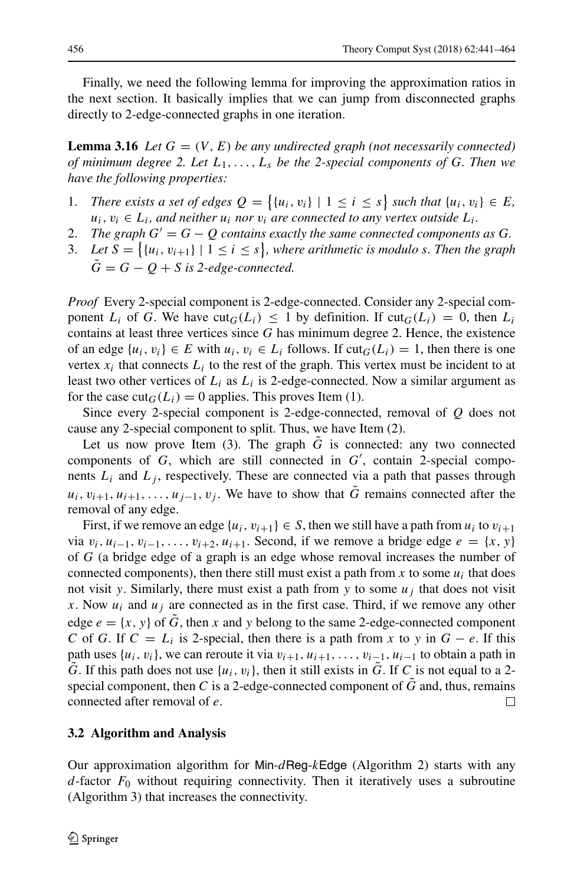Finally, we need the following lemma for improving the approximation ratios in the next section. It basically implies that we can jump from disconnected graphs directly to 2-edge-connected graphs in one iteration.

**Lemma 3.16** *Let*  $G = (V, E)$  *be any undirected graph (not necessarily connected) of minimum degree 2. Let* L1,...,L<sup>s</sup> *be the 2-special components of* G*. Then we have the following properties:*

- 1. *There exists a set of edges*  $Q = \{ \{u_i, v_i\} \mid 1 \le i \le s \}$  such that  $\{u_i, v_i\} \in E$ ,  $u_i, v_i \in L_i$ , and neither  $u_i$  nor  $v_i$  are connected to any vertex outside  $L_i$ .
- 2. *The graph*  $G' = G Q$  *contains exactly the same connected components as G.*
- 3. Let  $S = \{ \{u_i, v_{i+1}\} \mid 1 \leq i \leq s \}$ , where arithmetic is modulo s. Then the graph  $\tilde{G} = G - O + S$  is 2-edge-connected.

*Proof* Every 2-special component is 2-edge-connected. Consider any 2-special component  $L_i$  of G. We have  $\text{cut}_G(L_i) \leq 1$  by definition. If  $\text{cut}_G(L_i) = 0$ , then  $L_i$ contains at least three vertices since  $G$  has minimum degree 2. Hence, the existence of an edge  $\{u_i, v_i\} \in E$  with  $u_i, v_i \in L_i$  follows. If  $\text{cut}_G(L_i) = 1$ , then there is one vertex  $x_i$  that connects  $L_i$  to the rest of the graph. This vertex must be incident to at least two other vertices of  $L_i$  as  $L_i$  is 2-edge-connected. Now a similar argument as for the case  $\text{cut}_G(L_i) = 0$  applies. This proves Item (1).

Since every 2-special component is 2-edge-connected, removal of  $Q$  does not cause any 2-special component to split. Thus, we have Item (2).

Let us now prove Item (3). The graph  $\tilde{G}$  is connected: any two connected components of  $G$ , which are still connected in  $G'$ , contain 2-special components  $L_i$  and  $L_j$ , respectively. These are connected via a path that passes through  $u_i, v_{i+1}, u_{i+1}, \ldots, u_{j-1}, v_j$ . We have to show that G remains connected after the removal of any edge.

First, if we remove an edge  $\{u_i, v_{i+1}\} \in S$ , then we still have a path from  $u_i$  to  $v_{i+1}$ via  $v_i$ ,  $u_{i-1}$ ,  $v_{i-1}$ , ...,  $v_{i+2}$ ,  $u_{i+1}$ . Second, if we remove a bridge edge  $e = \{x, y\}$ of G (a bridge edge of a graph is an edge whose removal increases the number of connected components), then there still must exist a path from x to some  $u_i$  that does not visit y. Similarly, there must exist a path from y to some  $u_i$  that does not visit x. Now  $u_i$  and  $u_j$  are connected as in the first case. Third, if we remove any other edge  $e = \{x, y\}$  of  $\tilde{G}$ , then x and y belong to the same 2-edge-connected component C of G. If  $C = L_i$  is 2-special, then there is a path from x to y in  $G - e$ . If this path uses  $\{u_i, v_i\}$ , we can reroute it via  $v_{i+1}, u_{i+1}, \ldots, v_{i-1}, u_{i-1}$  to obtain a path in  $\tilde{G}$ . If this path does not use  $\{u_i, v_i\}$ , then it still exists in  $\tilde{G}$ . If C is not equal to a 2special component, then C is a 2-edge-connected component of  $\tilde{G}$  and, thus, remains connected after removal of e.  $\Box$ 

### **3.2 Algorithm and Analysis**

Our approximation algorithm for Min- $d$ Reg-kEdge (Algorithm 2) starts with any  $d$ -factor  $F_0$  without requiring connectivity. Then it iteratively uses a subroutine (Algorithm 3) that increases the connectivity.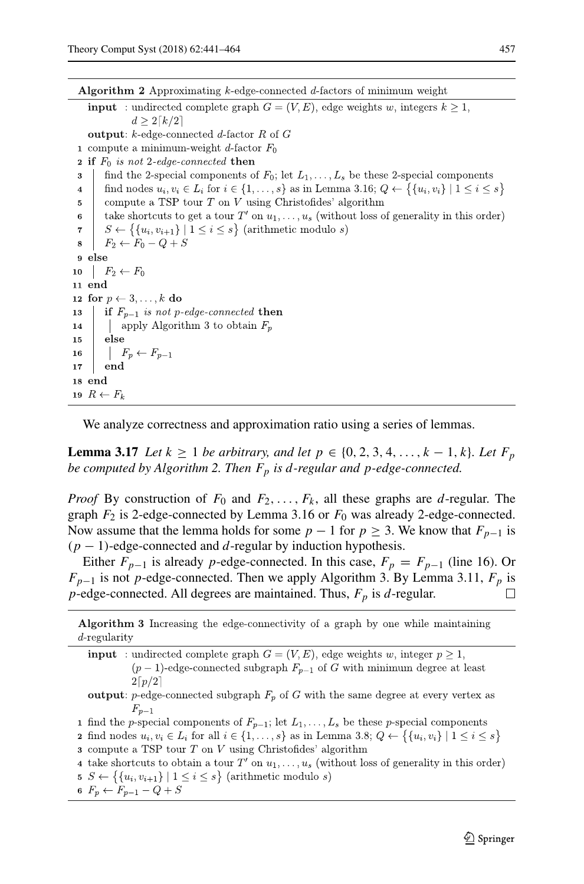Algorithm 2 Approximating  $k$ -edge-connected  $d$ -factors of minimum weight **input** : undirected complete graph  $G = (V, E)$ , edge weights w, integers  $k \ge 1$ ,  $d \geq 2\lceil k/2 \rceil$ **output:**  $k$ -edge-connected d-factor  $R$  of  $G$ 1 compute a minimum-weight d-factor  $F_0$ **2** if  $F_0$  is not 2-edge-connected then find the 2-special components of  $F_0$ ; let  $L_1, \ldots, L_s$  be these 2-special components 3  $\overline{\mathbf{4}}$ find nodes  $u_i, v_i \in L_i$  for  $i \in \{1, ..., s\}$  as in Lemma 3.16;  $Q \leftarrow \{\{u_i, v_i\} \mid 1 \leq i \leq s\}$ compute a TSP tour  $T$  on  $V$  using Christofides' algorithm  $\bf 5$ take shortcuts to get a tour T' on  $u_1, \ldots, u_s$  (without loss of generality in this order)  $\bf{6}$  $S \leftarrow \{ \{u_i, v_{i+1}\} \mid 1 \leq i \leq s \}$  (arithmetic modulo s)  $\overline{7}$  $F_2 \leftarrow F_0 - Q + S$ 8 9 else 10  $F_2 \leftarrow F_0$ 11 end 12 for  $p \leftarrow 3, \ldots, k$  do if  $F_{p-1}$  is not p-edge-connected then 13 14 | apply Algorithm 3 to obtain  $F_p$  $15$ else  $\mid F_p \leftarrow F_{p-1}$ 16 end  $17\,$ 18 end 19  $R \leftarrow F_k$ 

We analyze correctness and approximation ratio using a series of lemmas.

**Lemma 3.17** *Let*  $k \ge 1$  *be arbitrary, and let*  $p \in \{0, 2, 3, 4, ..., k - 1, k\}$ *. Let*  $F_p$ *be computed by Algorithm 2. Then*  $F_p$  *is d-regular and p-edge-connected.* 

*Proof* By construction of  $F_0$  and  $F_2, \ldots, F_k$ , all these graphs are d-regular. The graph  $F_2$  is 2-edge-connected by Lemma 3.16 or  $F_0$  was already 2-edge-connected. Now assume that the lemma holds for some  $p - 1$  for  $p \ge 3$ . We know that  $F_{p-1}$  is  $(p-1)$ -edge-connected and d-regular by induction hypothesis.

Either  $F_{p-1}$  is already p-edge-connected. In this case,  $F_p = F_{p-1}$  (line 16). Or  $F_{p-1}$  is not p-edge-connected. Then we apply Algorithm 3. By Lemma 3.11,  $F_p$  is p-edge-connected. All degrees are maintained. Thus,  $F_p$  is d-regular.  $\perp$ 

**Algorithm 3** Increasing the edge-connectivity of a graph by one while maintaining  $d$ -regularity

**input** : undirected complete graph  $G = (V, E)$ , edge weights w, integer  $p \ge 1$ ,  $(p-1)$ -edge-connected subgraph  $F_{p-1}$  of G with minimum degree at least  $2\lceil p/2 \rceil$ 

output: p-edge-connected subgraph  $F_p$  of G with the same degree at every vertex as  $F_{p-1}$ 

1 find the p-special components of  $F_{p-1}$ ; let  $L_1, \ldots, L_s$  be these p-special components

**2** find nodes  $u_i, v_i \in L_i$  for all  $i \in \{1, \ldots, s\}$  as in Lemma 3.8;  $Q \leftarrow \{\{u_i, v_i\} \mid 1 \leq i \leq s\}$ 

 $\alpha$  compute a TSP tour T on V using Christofides' algorithm

4 take shortcuts to obtain a tour T' on  $u_1, \ldots, u_s$  (without loss of generality in this order)

5  $S \leftarrow \{\{u_i, v_{i+1}\} \mid 1 \leq i \leq s\}$  (arithmetic modulo s)

6  $F_p \leftarrow F_{p-1} - Q + S$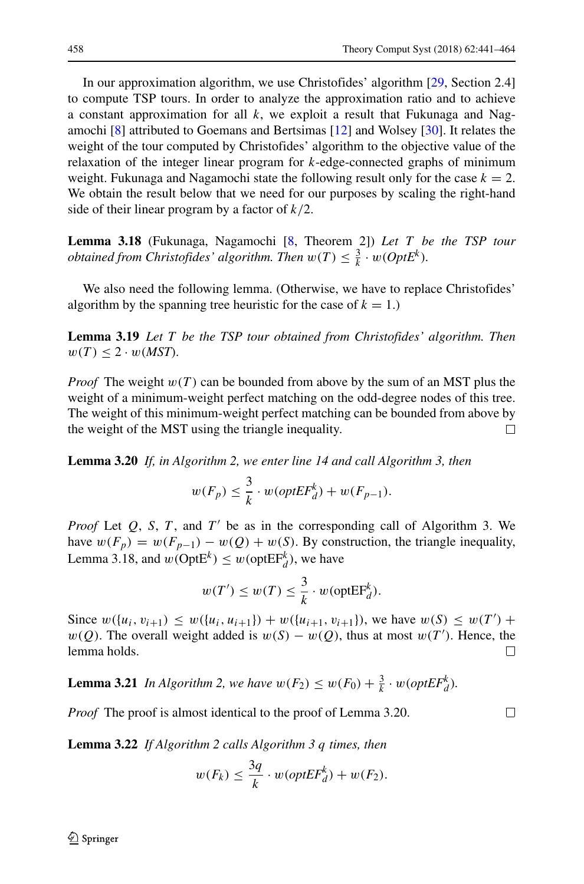In our approximation algorithm, we use Christofides' algorithm [\[29,](#page-23-5) Section 2.4] to compute TSP tours. In order to analyze the approximation ratio and to achieve a constant approximation for all  $k$ , we exploit a result that Fukunaga and Nagamochi [\[8\]](#page-22-13) attributed to Goemans and Bertsimas [\[12\]](#page-22-16) and Wolsey [\[30\]](#page-23-9). It relates the weight of the tour computed by Christofides' algorithm to the objective value of the relaxation of the integer linear program for  $k$ -edge-connected graphs of minimum weight. Fukunaga and Nagamochi state the following result only for the case  $k = 2$ . We obtain the result below that we need for our purposes by scaling the right-hand side of their linear program by a factor of  $k/2$ .

**Lemma 3.18** (Fukunaga, Nagamochi [\[8,](#page-22-13) Theorem 2]) *Let* T *be the TSP tour obtained from Christofides' algorithm. Then*  $w(T) \leq \frac{3}{k} \cdot w(OptE^k)$ .

We also need the following lemma. (Otherwise, we have to replace Christofides' algorithm by the spanning tree heuristic for the case of  $k = 1$ .)

**Lemma 3.19** *Let* T *be the TSP tour obtained from Christofides' algorithm. Then*  $w(T) \leq 2 \cdot w(MST)$ .

*Proof* The weight  $w(T)$  can be bounded from above by the sum of an MST plus the weight of a minimum-weight perfect matching on the odd-degree nodes of this tree. The weight of this minimum-weight perfect matching can be bounded from above by the weight of the MST using the triangle inequality.  $\Box$ 

**Lemma 3.20** *If, in Algorithm 2, we enter line 14 and call Algorithm 3, then*

$$
w(F_p) \leq \frac{3}{k} \cdot w(\mathit{optEF}_d^k) + w(F_{p-1}).
$$

*Proof* Let  $Q$ , S, T, and T' be as in the corresponding call of Algorithm 3. We have  $w(F_p) = w(F_{p-1}) - w(Q) + w(S)$ . By construction, the triangle inequality, Lemma 3.18, and  $w(\text{OptE}^k) \leq w(\text{optE}^k)$ , we have

$$
w(T') \le w(T) \le \frac{3}{k} \cdot w(\text{optEF}_d^k).
$$

Since  $w({u_i, v_{i+1}}) \le w({u_i, u_{i+1}}) + w({u_{i+1}, v_{i+1}})$ , we have  $w(S) \le w(T')$  +  $w(Q)$ . The overall weight added is  $w(S) - w(Q)$ , thus at most  $w(T')$ . Hence, the lemma holds.  $\Box$ 

**Lemma 3.21** *In Algorithm 2, we have*  $w(F_2) \leq w(F_0) + \frac{3}{k} \cdot w(\text{optEF}_d^k)$ *.* 

*Proof* The proof is almost identical to the proof of Lemma 3.20.

**Lemma 3.22** *If Algorithm 2 calls Algorithm 3* q *times, then*

$$
w(F_k) \le \frac{3q}{k} \cdot w(\mathit{optEF}^k_d) + w(F_2).
$$

 $\mathcal{D}$  Springer

 $\Box$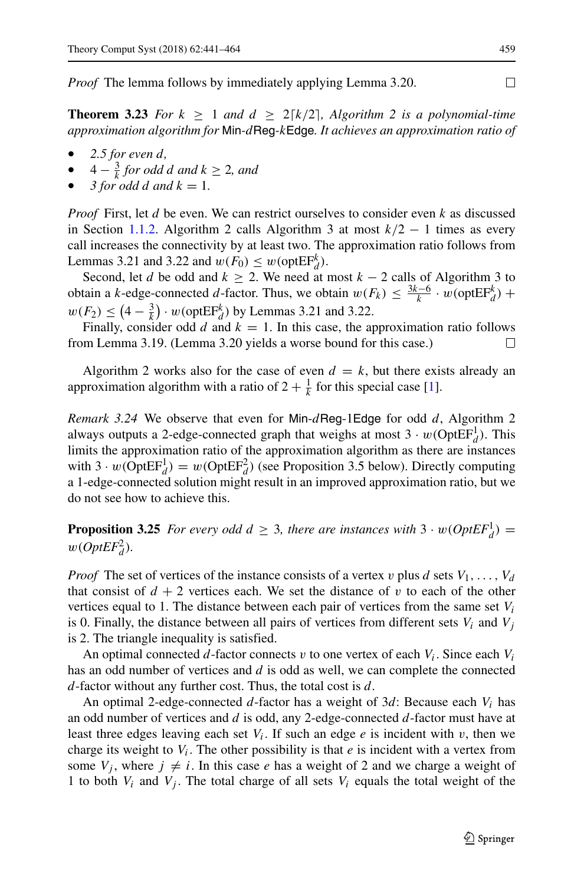*Proof* The lemma follows by immediately applying Lemma 3.20.

**Theorem 3.23** For  $k \ge 1$  and  $d \ge 2[k/2]$ , Algorithm 2 is a polynomial-time *approximation algorithm for* Min*-*dReg*-*kEdge*. It achieves an approximation ratio of*

- *2.5 for even* d*,*
- $4 \frac{3}{k}$  *for odd d and*  $k \geq 2$ *, and*
- $\beta$  for odd d and  $k = 1$ .

*Proof* First, let d be even. We can restrict ourselves to consider even k as discussed in Section [1.1.2.](#page-2-0) Algorithm 2 calls Algorithm 3 at most  $k/2 - 1$  times as every call increases the connectivity by at least two. The approximation ratio follows from Lemmas 3.21 and 3.22 and  $w(F_0) \leq w(\text{optEF}_d^k)$ .

Second, let d be odd and  $k \ge 2$ . We need at most  $k - 2$  calls of Algorithm 3 to obtain a k-edge-connected d-factor. Thus, we obtain  $w(F_k) \leq \frac{3k-6}{k} \cdot w(\text{optEF}_d^k)$  +  $w(F_2) \leq (4 - \frac{3}{k}) \cdot w(\text{optEF}_{d}^{k})$  by Lemmas 3.21 and 3.22.

Finally, consider odd d and  $k = 1$ . In this case, the approximation ratio follows from Lemma 3.19. (Lemma 3.20 yields a worse bound for this case.)  $\perp$ 

Algorithm 2 works also for the case of even  $d = k$ , but there exists already an approximation algorithm with a ratio of  $2 + \frac{1}{k}$  for this special case [\[1\]](#page-22-3).

*Remark 3.24* We observe that even for Min-dReg-1Edge for odd d, Algorithm 2 always outputs a 2-edge-connected graph that weighs at most  $3 \cdot w(\text{OptEF}_d^1)$ . This limits the approximation ratio of the approximation algorithm as there are instances with  $3 \cdot w(\text{OptEF}_d^1) = w(\text{OptEF}_d^2)$  (see Proposition 3.5 below). Directly computing a 1-edge-connected solution might result in an improved approximation ratio, but we do not see how to achieve this.

**Proposition 3.25** *For every odd*  $d \geq 3$ *, there are instances with*  $3 \cdot w(OptEF_d^1)$  =  $w(OptEF_d^2)$ .

*Proof* The set of vertices of the instance consists of a vertex v plus d sets  $V_1, \ldots, V_d$ that consist of  $d + 2$  vertices each. We set the distance of v to each of the other vertices equal to 1. The distance between each pair of vertices from the same set  $V_i$ is 0. Finally, the distance between all pairs of vertices from different sets  $V_i$  and  $V_j$ is 2. The triangle inequality is satisfied.

An optimal connected  $d$ -factor connects  $v$  to one vertex of each  $V_i$ . Since each  $V_i$ has an odd number of vertices and d is odd as well, we can complete the connected  $d$ -factor without any further cost. Thus, the total cost is  $d$ .

An optimal 2-edge-connected d-factor has a weight of  $3d$ : Because each  $V_i$  has an odd number of vertices and  $d$  is odd, any 2-edge-connected  $d$ -factor must have at least three edges leaving each set  $V_i$ . If such an edge  $e$  is incident with  $v$ , then we charge its weight to  $V_i$ . The other possibility is that  $e$  is incident with a vertex from some  $V_j$ , where  $j \neq i$ . In this case e has a weight of 2 and we charge a weight of 1 to both  $V_i$  and  $V_j$ . The total charge of all sets  $V_i$  equals the total weight of the

 $\Box$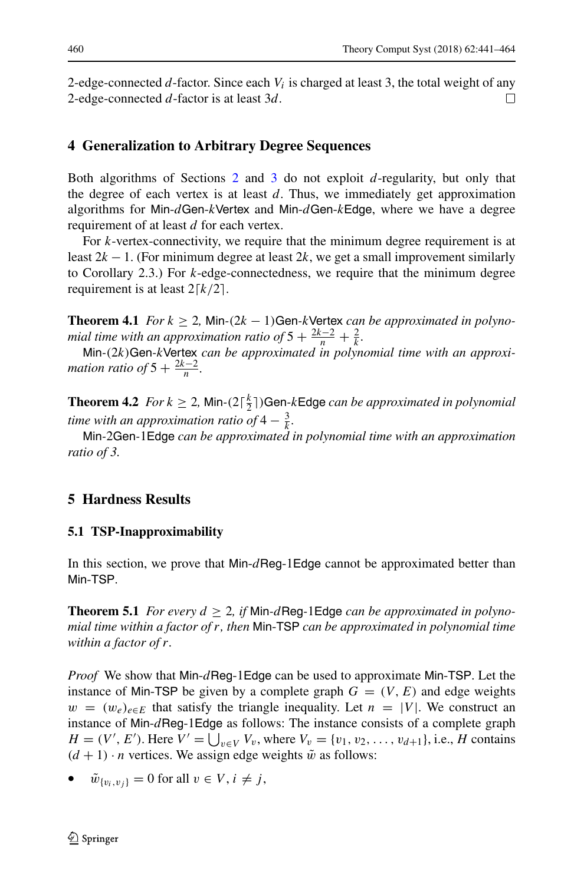2-edge-connected  $d$ -factor. Since each  $V_i$  is charged at least 3, the total weight of any 2-edge-connected d-factor is at least 3d.  $\Box$ 

# <span id="page-19-0"></span>**4 Generalization to Arbitrary Degree Sequences**

Both algorithms of Sections [2](#page-5-0) and [3](#page-8-0) do not exploit d-regularity, but only that the degree of each vertex is at least  $d$ . Thus, we immediately get approximation algorithms for Min-dGen-kVertex and Min-dGen-kEdge, where we have a degree requirement of at least d for each vertex.

For k-vertex-connectivity, we require that the minimum degree requirement is at least  $2k - 1$ . (For minimum degree at least  $2k$ , we get a small improvement similarly to Corollary 2.3.) For  $k$ -edge-connectedness, we require that the minimum degree requirement is at least  $2[k/2]$ .

**Theorem 4.1** *For*  $k \geq 2$ , Min- $(2k - 1)$ Gen-kVertex *can be approximated in polynomial time with an approximation ratio of*  $5 + \frac{2k-2}{n} + \frac{2}{k}$ .

Min*-*(2k)Gen*-*kVertex *can be approximated in polynomial time with an approximation ratio of*  $5 + \frac{2k-2}{n}$ .

**Theorem 4.2** *For*  $k \geq 2$ , Min- $(2\lceil \frac{k}{2} \rceil)$ Gen-kEdge *can be approximated in polynomial time with an approximation ratio of*  $4 - \frac{3}{k}$ *.* 

Min*-*2Gen*-*1Edge *can be approximated in polynomial time with an approximation ratio of 3.*

# <span id="page-19-1"></span>**5 Hardness Results**

### **5.1 TSP-Inapproximability**

In this section, we prove that Min-dReg-1Edge cannot be approximated better than Min-TSP.

**Theorem 5.1** *For every*  $d \geq 2$ , *if* Min-*d* Reg-1Edge *can be approximated in polynomial time within a factor of* r*, then* Min-TSP *can be approximated in polynomial time within a factor of* r*.*

*Proof* We show that Min-dReg-1Edge can be used to approximate Min-TSP. Let the instance of Min-TSP be given by a complete graph  $G = (V, E)$  and edge weights  $w = (w_e)_{e \in E}$  that satisfy the triangle inequality. Let  $n = |V|$ . We construct an instance of Min-dReg-1Edge as follows: The instance consists of a complete graph  $H = (V', E')$ . Here  $V' = \bigcup_{v \in V} V_v$ , where  $V_v = \{v_1, v_2, \dots, v_{d+1}\}$ , i.e., H contains  $(d + 1) \cdot n$  vertices. We assign edge weights  $\tilde{w}$  as follows:

• 
$$
\tilde{w}_{\{v_i, v_j\}} = 0
$$
 for all  $v \in V$ ,  $i \neq j$ ,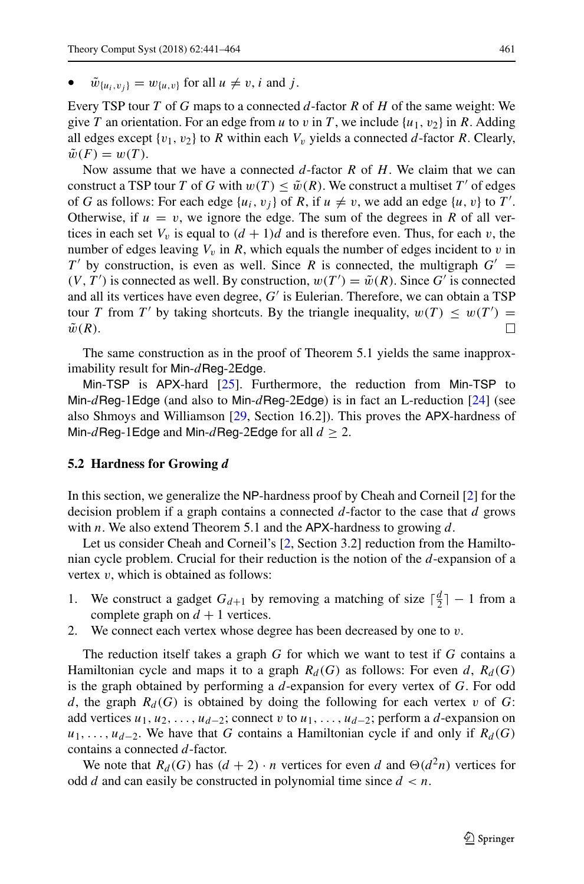$\tilde{w}_{\{u_i, v_i\}} = w_{\{u, v\}}$  for all  $u \neq v$ , i and j.

Every TSP tour T of G maps to a connected  $d$ -factor R of H of the same weight: We give T an orientation. For an edge from u to v in T, we include  $\{u_1, v_2\}$  in R. Adding all edges except  $\{v_1, v_2\}$  to R within each  $V_v$  yields a connected d-factor R. Clearly,  $\tilde{w}(F) = w(T)$ .

Now assume that we have a connected  $d$ -factor R of H. We claim that we can construct a TSP tour T of G with  $w(T) \leq \tilde{w}(R)$ . We construct a multiset T' of edges of G as follows: For each edge  $\{u_i, v_j\}$  of R, if  $u \neq v$ , we add an edge  $\{u, v\}$  to T'. Otherwise, if  $u = v$ , we ignore the edge. The sum of the degrees in R of all vertices in each set  $V_v$  is equal to  $(d + 1)d$  and is therefore even. Thus, for each v, the number of edges leaving  $V_v$  in R, which equals the number of edges incident to v in  $T'$  by construction, is even as well. Since R is connected, the multigraph  $G' =$  $(V, T')$  is connected as well. By construction,  $w(T') = \tilde{w}(R)$ . Since G' is connected and all its vertices have even degree, G′ is Eulerian. Therefore, we can obtain a TSP tour T from T' by taking shortcuts. By the triangle inequality,  $w(T) \leq w(T') =$  $\Box$  $\tilde{w}(R)$ .

The same construction as in the proof of Theorem 5.1 yields the same inapproximability result for Min- $d$ Reg-2Edge.

Min-TSP is APX-hard [\[25\]](#page-23-10). Furthermore, the reduction from Min-TSP to Min-dReg-1Edge (and also to Min-dReg-2Edge) is in fact an L-reduction  $[24]$  (see also Shmoys and Williamson [\[29,](#page-23-5) Section 16.2]). This proves the APX-hardness of Min-dReg-1Edge and Min-dReg-2Edge for all  $d \geq 2$ .

### **5.2 Hardness for Growing** d

In this section, we generalize the NP-hardness proof by Cheah and Corneil [\[2\]](#page-22-2) for the decision problem if a graph contains a connected  $d$ -factor to the case that  $d$  grows with  $n$ . We also extend Theorem 5.1 and the APX-hardness to growing  $d$ .

Let us consider Cheah and Corneil's [\[2,](#page-22-2) Section 3.2] reduction from the Hamiltonian cycle problem. Crucial for their reduction is the notion of the  $d$ -expansion of a vertex  $v$ , which is obtained as follows:

- 1. We construct a gadget  $G_{d+1}$  by removing a matching of size  $\lceil \frac{d}{2} \rceil 1$  from a complete graph on  $d + 1$  vertices.
- 2. We connect each vertex whose degree has been decreased by one to  $v$ .

The reduction itself takes a graph  $G$  for which we want to test if  $G$  contains a Hamiltonian cycle and maps it to a graph  $R_d(G)$  as follows: For even d,  $R_d(G)$ is the graph obtained by performing a  $d$ -expansion for every vertex of  $G$ . For odd d, the graph  $R_d(G)$  is obtained by doing the following for each vertex v of G: add vertices  $u_1, u_2, \ldots, u_{d-2}$ ; connect v to  $u_1, \ldots, u_{d-2}$ ; perform a d-expansion on  $u_1, \ldots, u_{d-2}$ . We have that G contains a Hamiltonian cycle if and only if  $R_d(G)$ contains a connected d-factor.

We note that  $R_d(G)$  has  $(d + 2) \cdot n$  vertices for even d and  $\Theta(d^2n)$  vertices for odd d and can easily be constructed in polynomial time since  $d < n$ .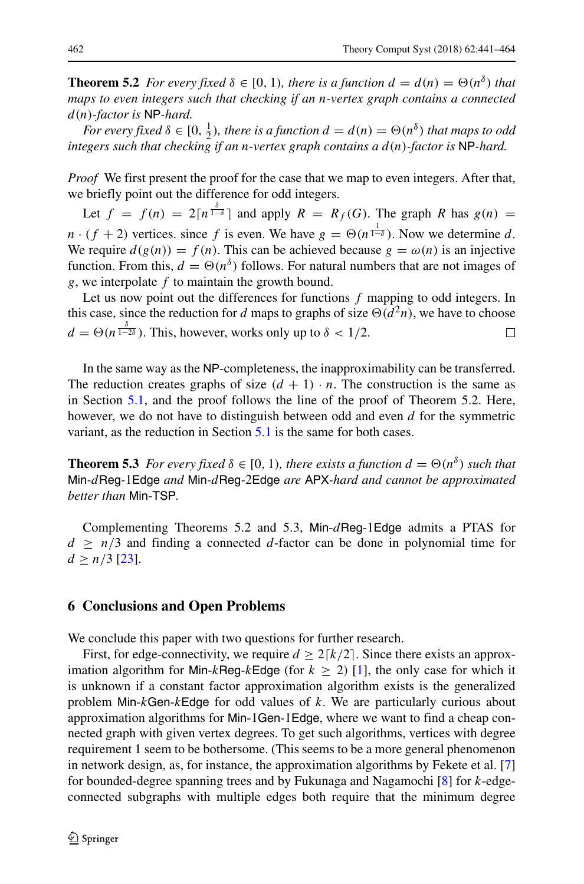**Theorem 5.2** *For every fixed*  $\delta \in [0, 1)$ *, there is a function*  $d = d(n) = \Theta(n^{\delta})$  *that maps to even integers such that checking if an* n*-vertex graph contains a connected* d(n)*-factor is* NP*-hard.*

*For every fixed*  $\delta \in [0, \frac{1}{2})$ *, there is a function*  $d = d(n) = \Theta(n^{\delta})$  *that maps to odd integers such that checking if an* n*-vertex graph contains a* d(n)*-factor is* NP*-hard.*

*Proof* We first present the proof for the case that we map to even integers. After that, we briefly point out the difference for odd integers.

Let  $f = f(n) = 2\lceil n^{\frac{\delta}{1-\delta}} \rceil$  and apply  $R = R_f(G)$ . The graph R has  $g(n) =$  $n \cdot (f + 2)$  vertices. since f is even. We have  $g = \Theta(n^{\frac{1}{1-\delta}})$ . Now we determine d. We require  $d(g(n)) = f(n)$ . This can be achieved because  $g = \omega(n)$  is an injective function. From this,  $d = \Theta(n^{\delta})$  follows. For natural numbers that are not images of  $g$ , we interpolate  $f$  to maintain the growth bound.

Let us now point out the differences for functions  $f$  mapping to odd integers. In this case, since the reduction for d maps to graphs of size  $\Theta(d^2n)$ , we have to choose  $d = \Theta(n^{\frac{\delta}{1-2\delta}})$ . This, however, works only up to  $\delta < 1/2$ . П

In the same way as the NP-completeness, the inapproximability can be transferred. The reduction creates graphs of size  $(d + 1) \cdot n$ . The construction is the same as in Section [5.1,](#page-19-1) and the proof follows the line of the proof of Theorem 5.2. Here, however, we do not have to distinguish between odd and even  $d$  for the symmetric variant, as the reduction in Section [5.1](#page-19-1) is the same for both cases.

**Theorem 5.3** *For every fixed*  $\delta \in [0, 1)$ *, there exists a function*  $d = \Theta(n^{\delta})$  *such that* Min*-*dReg*-*1Edge *and* Min*-*dReg*-*2Edge *are* APX*-hard and cannot be approximated better than* Min-TSP*.*

Complementing Theorems 5.2 and 5.3, Min-dReg-1Edge admits a PTAS for  $d \geq n/3$  and finding a connected d-factor can be done in polynomial time for  $d \geq n/3$  [\[23\]](#page-23-8).

### **6 Conclusions and Open Problems**

We conclude this paper with two questions for further research.

First, for edge-connectivity, we require  $d \geq 2\lceil k/2 \rceil$ . Since there exists an approximation algorithm for Min-kReg-kEdge (for  $k \ge 2$ ) [\[1\]](#page-22-3), the only case for which it is unknown if a constant factor approximation algorithm exists is the generalized problem Min- $k$ Gen- $k$ Edge for odd values of  $k$ . We are particularly curious about approximation algorithms for Min-1Gen-1Edge, where we want to find a cheap connected graph with given vertex degrees. To get such algorithms, vertices with degree requirement 1 seem to be bothersome. (This seems to be a more general phenomenon in network design, as, for instance, the approximation algorithms by Fekete et al. [\[7\]](#page-22-14) for bounded-degree spanning trees and by Fukunaga and Nagamochi [\[8\]](#page-22-13) for k-edgeconnected subgraphs with multiple edges both require that the minimum degree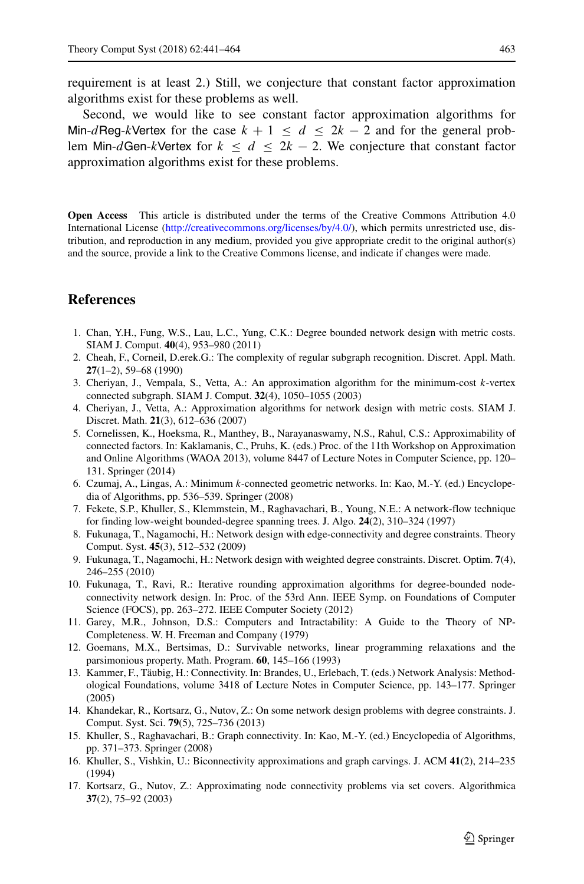requirement is at least 2.) Still, we conjecture that constant factor approximation algorithms exist for these problems as well.

Second, we would like to see constant factor approximation algorithms for Min-dReg-kVertex for the case  $k + 1 \le d \le 2k - 2$  and for the general problem Min-dGen-kVertex for  $k \le d \le 2k - 2$ . We conjecture that constant factor approximation algorithms exist for these problems.

**Open Access** This article is distributed under the terms of the Creative Commons Attribution 4.0 International License [\(http://creativecommons.org/licenses/by/4.0/\)](http://creativecommons.org/licenses/by/4.0/), which permits unrestricted use, distribution, and reproduction in any medium, provided you give appropriate credit to the original author(s) and the source, provide a link to the Creative Commons license, and indicate if changes were made.

# **References**

- <span id="page-22-3"></span>1. Chan, Y.H., Fung, W.S., Lau, L.C., Yung, C.K.: Degree bounded network design with metric costs. SIAM J. Comput. **40**(4), 953–980 (2011)
- <span id="page-22-2"></span>2. Cheah, F., Corneil, D.erek.G.: The complexity of regular subgraph recognition. Discret. Appl. Math. **27**(1–2), 59–68 (1990)
- <span id="page-22-11"></span>3. Cheriyan, J., Vempala, S., Vetta, A.: An approximation algorithm for the minimum-cost k-vertex connected subgraph. SIAM J. Comput. **32**(4), 1050–1055 (2003)
- <span id="page-22-4"></span>4. Cheriyan, J., Vetta, A.: Approximation algorithms for network design with metric costs. SIAM J. Discret. Math. **21**(3), 612–636 (2007)
- <span id="page-22-0"></span>5. Cornelissen, K., Hoeksma, R., Manthey, B., Narayanaswamy, N.S., Rahul, C.S.: Approximability of connected factors. In: Kaklamanis, C., Pruhs, K. (eds.) Proc. of the 11th Workshop on Approximation and Online Algorithms (WAOA 2013), volume 8447 of Lecture Notes in Computer Science, pp. 120– 131. Springer (2014)
- <span id="page-22-5"></span>6. Czumaj, A., Lingas, A.: Minimum k-connected geometric networks. In: Kao, M.-Y. (ed.) Encyclopedia of Algorithms, pp. 536–539. Springer (2008)
- <span id="page-22-14"></span>7. Fekete, S.P., Khuller, S., Klemmstein, M., Raghavachari, B., Young, N.E.: A network-flow technique for finding low-weight bounded-degree spanning trees. J. Algo. **24**(2), 310–324 (1997)
- <span id="page-22-13"></span>8. Fukunaga, T., Nagamochi, H.: Network design with edge-connectivity and degree constraints. Theory Comput. Syst. **45**(3), 512–532 (2009)
- <span id="page-22-15"></span>9. Fukunaga, T., Nagamochi, H.: Network design with weighted degree constraints. Discret. Optim. **7**(4), 246–255 (2010)
- <span id="page-22-6"></span>10. Fukunaga, T., Ravi, R.: Iterative rounding approximation algorithms for degree-bounded nodeconnectivity network design. In: Proc. of the 53rd Ann. IEEE Symp. on Foundations of Computer Science (FOCS), pp. 263–272. IEEE Computer Society (2012)
- <span id="page-22-1"></span>11. Garey, M.R., Johnson, D.S.: Computers and Intractability: A Guide to the Theory of NP-Completeness. W. H. Freeman and Company (1979)
- <span id="page-22-16"></span>12. Goemans, M.X., Bertsimas, D.: Survivable networks, linear programming relaxations and the parsimonious property. Math. Program. **60**, 145–166 (1993)
- <span id="page-22-9"></span>13. Kammer, F., Taubig, H.: Connectivity. In: Brandes, U., Erlebach, T. (eds.) Network Analysis: Method- ¨ ological Foundations, volume 3418 of Lecture Notes in Computer Science, pp. 143–177. Springer (2005)
- <span id="page-22-7"></span>14. Khandekar, R., Kortsarz, G., Nutov, Z.: On some network design problems with degree constraints. J. Comput. Syst. Sci. **79**(5), 725–736 (2013)
- <span id="page-22-10"></span>15. Khuller, S., Raghavachari, B.: Graph connectivity. In: Kao, M.-Y. (ed.) Encyclopedia of Algorithms, pp. 371–373. Springer (2008)
- <span id="page-22-8"></span>16. Khuller, S., Vishkin, U.: Biconnectivity approximations and graph carvings. J. ACM **41**(2), 214–235 (1994)
- <span id="page-22-12"></span>17. Kortsarz, G., Nutov, Z.: Approximating node connectivity problems via set covers. Algorithmica **37**(2), 75–92 (2003)